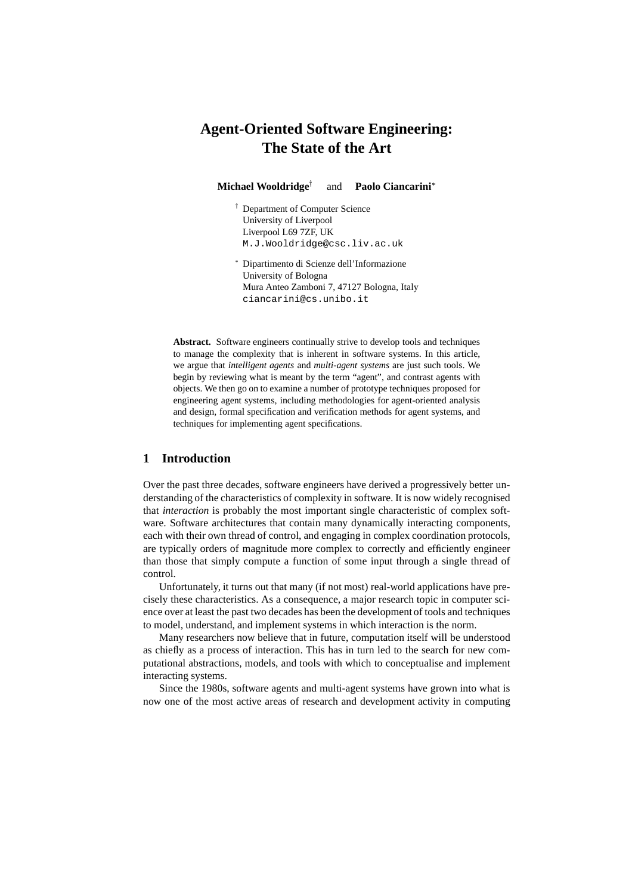# **Agent-Oriented Software Engineering: The State of the Art**

**Michael Wooldridge Paolo Ciancarini**<sup>\*</sup>

- <sup>†</sup> Department of Computer Science University of Liverpool Liverpool L69 7ZF, UK M.J.Wooldridge@csc.liv.ac.uk
- Dipartimento di Scienze dell'Informazione University of Bologna Mura Anteo Zamboni 7, 47127 Bologna, Italy ciancarini@cs.unibo.it

**Abstract.** Software engineers continually strive to develop tools and techniques to manage the complexity that is inherent in software systems. In this article, we argue that *intelligent agents* and *multi-agent systems* are just such tools. We begin by reviewing what is meant by the term "agent", and contrast agents with objects. We then go on to examine a number of prototype techniques proposed for engineering agent systems, including methodologies for agent-oriented analysis and design, formal specification and verification methods for agent systems, and techniques for implementing agent specifications.

# **1 Introduction**

Over the past three decades, software engineers have derived a progressively better understanding of the characteristics of complexity in software. It is now widely recognised that *interaction* is probably the most important single characteristic of complex software. Software architectures that contain many dynamically interacting components, each with their own thread of control, and engaging in complex coordination protocols, are typically orders of magnitude more complex to correctly and efficiently engineer than those that simply compute a function of some input through a single thread of control.

Unfortunately, it turns out that many (if not most) real-world applications have precisely these characteristics. As a consequence, a major research topic in computer science over at least the past two decades has been the development of tools and techniques to model, understand, and implement systems in which interaction is the norm.

Many researchers now believe that in future, computation itself will be understood as chiefly as a process of interaction. This has in turn led to the search for new computational abstractions, models, and tools with which to conceptualise and implement interacting systems.

Since the 1980s, software agents and multi-agent systems have grown into what is now one of the most active areas of research and development activity in computing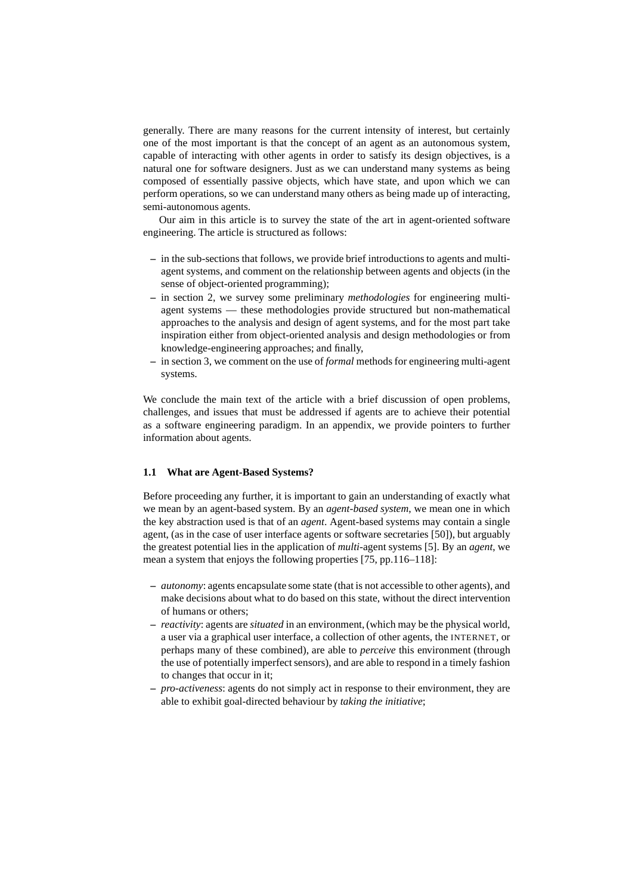generally. There are many reasons for the current intensity of interest, but certainly one of the most important is that the concept of an agent as an autonomous system, capable of interacting with other agents in order to satisfy its design objectives, is a natural one for software designers. Just as we can understand many systems as being composed of essentially passive objects, which have state, and upon which we can perform operations, so we can understand many others as being made up of interacting, semi-autonomous agents.

Our aim in this article is to survey the state of the art in agent-oriented software engineering. The article is structured as follows:

- **–** in the sub-sections that follows, we provide brief introductions to agents and multiagent systems, and comment on the relationship between agents and objects (in the sense of object-oriented programming);
- **–** in section 2, we survey some preliminary *methodologies* for engineering multiagent systems — these methodologies provide structured but non-mathematical approaches to the analysis and design of agent systems, and for the most part take inspiration either from object-oriented analysis and design methodologies or from knowledge-engineering approaches; and finally,
- **–** in section 3, we comment on the use of *formal* methods for engineering multi-agent systems.

We conclude the main text of the article with a brief discussion of open problems, challenges, and issues that must be addressed if agents are to achieve their potential as a software engineering paradigm. In an appendix, we provide pointers to further information about agents.

# **1.1 What are Agent-Based Systems?**

Before proceeding any further, it is important to gain an understanding of exactly what we mean by an agent-based system. By an *agent-based system*, we mean one in which the key abstraction used is that of an *agent*. Agent-based systems may contain a single agent, (as in the case of user interface agents or software secretaries [50]), but arguably the greatest potential lies in the application of *multi*-agent systems [5]. By an *agent*, we mean a system that enjoys the following properties [75, pp.116–118]:

- **–** *autonomy*: agents encapsulate some state (that is not accessible to other agents), and make decisions about what to do based on this state, without the direct intervention of humans or others;
- **–** *reactivity*: agents are *situated* in an environment,(which may be the physical world, a user via a graphical user interface, a collection of other agents, the INTERNET, or perhaps many of these combined), are able to *perceive* this environment (through the use of potentially imperfect sensors), and are able to respond in a timely fashion to changes that occur in it;
- **–** *pro-activeness*: agents do not simply act in response to their environment, they are able to exhibit goal-directed behaviour by *taking the initiative*;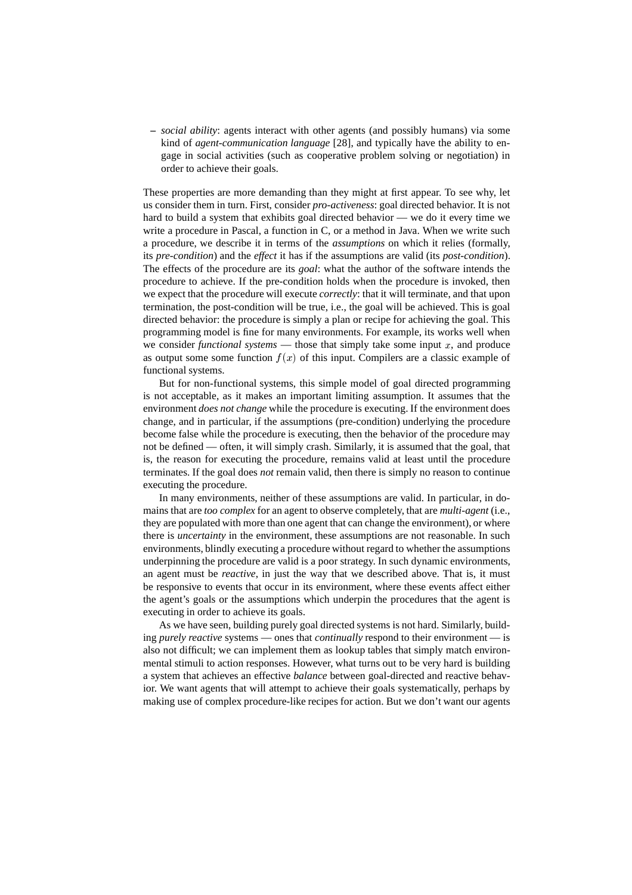**–** *social ability*: agents interact with other agents (and possibly humans) via some kind of *agent-communication language* [28], and typically have the ability to engage in social activities (such as cooperative problem solving or negotiation) in order to achieve their goals.

These properties are more demanding than they might at first appear. To see why, let us consider them in turn. First, consider *pro-activeness*: goal directed behavior. It is not hard to build a system that exhibits goal directed behavior — we do it every time we write a procedure in Pascal, a function in C, or a method in Java. When we write such a procedure, we describe it in terms of the *assumptions* on which it relies (formally, its *pre-condition*) and the *effect* it has if the assumptions are valid (its *post-condition*). The effects of the procedure are its *goal*: what the author of the software intends the procedure to achieve. If the pre-condition holds when the procedure is invoked, then we expect that the procedure will execute *correctly*: that it will terminate, and that upon termination, the post-condition will be true, i.e., the goal will be achieved. This is goal directed behavior: the procedure is simply a plan or recipe for achieving the goal. This programming model is fine for many environments. For example, its works well when we consider *functional systems* — those that simply take some input  $x$ , and produce as output some some function  $f(x)$  of this input. Compilers are a classic example of functional systems.

But for non-functional systems, this simple model of goal directed programming is not acceptable, as it makes an important limiting assumption. It assumes that the environment *does not change* while the procedure is executing. If the environment does change, and in particular, if the assumptions (pre-condition) underlying the procedure become false while the procedure is executing, then the behavior of the procedure may not be defined — often, it will simply crash. Similarly, it is assumed that the goal, that is, the reason for executing the procedure, remains valid at least until the procedure terminates. If the goal does *not* remain valid, then there is simply no reason to continue executing the procedure.

In many environments, neither of these assumptions are valid. In particular, in domains that are *too complex* for an agent to observe completely, that are *multi-agent* (i.e., they are populated with more than one agent that can change the environment), or where there is *uncertainty* in the environment, these assumptions are not reasonable. In such environments, blindly executing a procedure without regard to whether the assumptions underpinning the procedure are valid is a poor strategy. In such dynamic environments, an agent must be *reactive*, in just the way that we described above. That is, it must be responsive to events that occur in its environment, where these events affect either the agent's goals or the assumptions which underpin the procedures that the agent is executing in order to achieve its goals.

As we have seen, building purely goal directed systems is not hard. Similarly, building *purely reactive* systems — ones that *continually* respond to their environment — is also not difficult; we can implement them as lookup tables that simply match environmental stimuli to action responses. However, what turns out to be very hard is building a system that achieves an effective *balance* between goal-directed and reactive behavior. We want agents that will attempt to achieve their goals systematically, perhaps by making use of complex procedure-like recipes for action. But we don't want our agents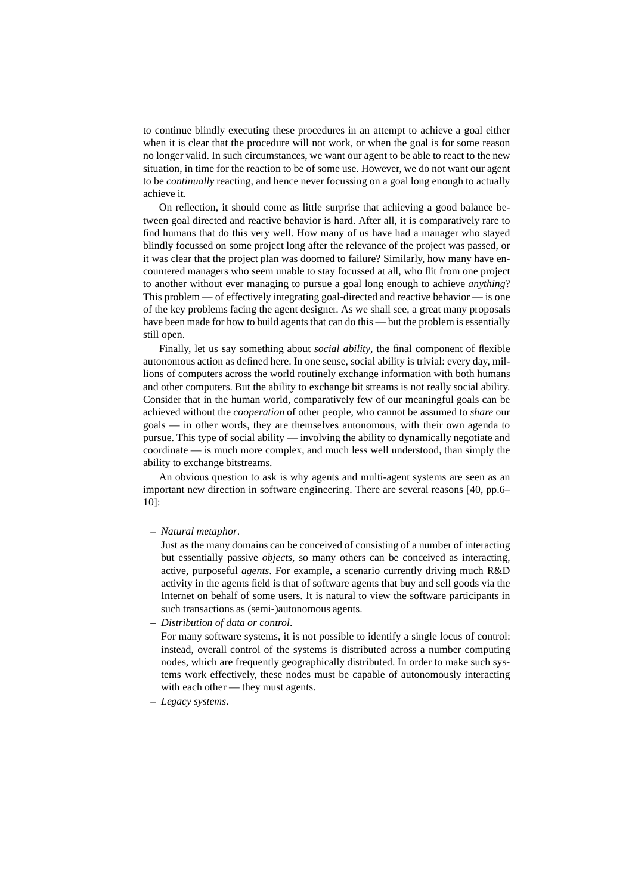to continue blindly executing these procedures in an attempt to achieve a goal either when it is clear that the procedure will not work, or when the goal is for some reason no longer valid. In such circumstances, we want our agent to be able to react to the new situation, in time for the reaction to be of some use. However, we do not want our agent to be *continually* reacting, and hence never focussing on a goal long enough to actually achieve it.

On reflection, it should come as little surprise that achieving a good balance between goal directed and reactive behavior is hard. After all, it is comparatively rare to find humans that do this very well. How many of us have had a manager who stayed blindly focussed on some project long after the relevance of the project was passed, or it was clear that the project plan was doomed to failure? Similarly, how many have encountered managers who seem unable to stay focussed at all, who flit from one project to another without ever managing to pursue a goal long enough to achieve *anything*? This problem — of effectively integrating goal-directed and reactive behavior — is one of the key problems facing the agent designer. As we shall see, a great many proposals have been made for how to build agents that can do this — but the problem is essentially still open.

Finally, let us say something about *social ability*, the final component of flexible autonomous action as defined here. In one sense, social ability is trivial: every day, millions of computers across the world routinely exchange information with both humans and other computers. But the ability to exchange bit streams is not really social ability. Consider that in the human world, comparatively few of our meaningful goals can be achieved without the *cooperation* of other people, who cannot be assumed to *share* our goals — in other words, they are themselves autonomous, with their own agenda to pursue. This type of social ability — involving the ability to dynamically negotiate and coordinate — is much more complex, and much less well understood, than simply the ability to exchange bitstreams.

An obvious question to ask is why agents and multi-agent systems are seen as an important new direction in software engineering. There are several reasons [40, pp.6– 10]:

#### **–** *Natural metaphor*.

Just as the many domains can be conceived of consisting of a number of interacting but essentially passive *objects*, so many others can be conceived as interacting, active, purposeful *agents*. For example, a scenario currently driving much R&D activity in the agents field is that of software agents that buy and sell goods via the Internet on behalf of some users. It is natural to view the software participants in such transactions as (semi-)autonomous agents.

**–** *Distribution of data or control*.

For many software systems, it is not possible to identify a single locus of control: instead, overall control of the systems is distributed across a number computing nodes, which are frequently geographically distributed. In order to make such systems work effectively, these nodes must be capable of autonomously interacting with each other — they must agents.

**–** *Legacy systems*.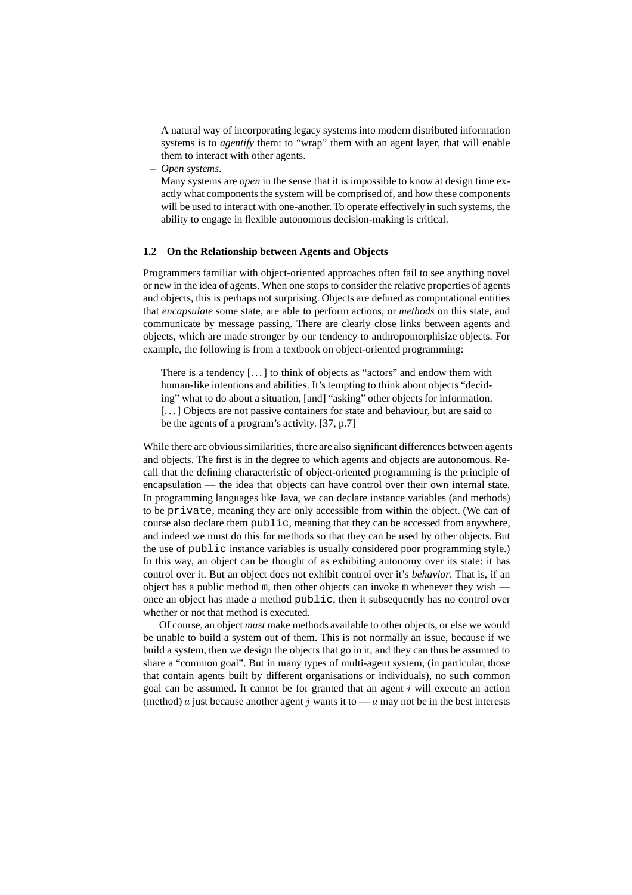A natural way of incorporating legacy systems into modern distributed information systems is to *agentify* them: to "wrap" them with an agent layer, that will enable them to interact with other agents.

**–** *Open systems*.

Many systems are *open* in the sense that it is impossible to know at design time exactly what components the system will be comprised of, and how these components will be used to interact with one-another. To operate effectively in such systems, the ability to engage in flexible autonomous decision-making is critical.

# **1.2 On the Relationship between Agents and Objects**

Programmers familiar with object-oriented approaches often fail to see anything novel or new in the idea of agents. When one stops to consider the relative properties of agents and objects, this is perhaps not surprising. Objects are defined as computational entities that *encapsulate* some state, are able to perform actions, or *methods* on this state, and communicate by message passing. There are clearly close links between agents and objects, which are made stronger by our tendency to anthropomorphisize objects. For example, the following is from a textbook on object-oriented programming:

There is a tendency [. . .] to think of objects as "actors" and endow them with human-like intentions and abilities. It's tempting to think about objects "deciding" what to do about a situation, [and] "asking" other objects for information. [...] Objects are not passive containers for state and behaviour, but are said to be the agents of a program's activity. [37, p.7]

While there are obvious similarities, there are also significant differences between agents and objects. The first is in the degree to which agents and objects are autonomous. Recall that the defining characteristic of object-oriented programming is the principle of encapsulation — the idea that objects can have control over their own internal state. In programming languages like Java, we can declare instance variables (and methods) to be private, meaning they are only accessible from within the object. (We can of course also declare them public, meaning that they can be accessed from anywhere, and indeed we must do this for methods so that they can be used by other objects. But the use of public instance variables is usually considered poor programming style.) In this way, an object can be thought of as exhibiting autonomy over its state: it has control over it. But an object does not exhibit control over it's *behavior*. That is, if an object has a public method  $m$ , then other objects can invoke  $m$  whenever they wish  $-\frac{1}{m}$ once an object has made a method public, then it subsequently has no control over whether or not that method is executed.

Of course, an object *must* make methods available to other objects, or else we would be unable to build a system out of them. This is not normally an issue, because if we build a system, then we design the objects that go in it, and they can thus be assumed to share a "common goal". But in many types of multi-agent system, (in particular, those that contain agents built by different organisations or individuals), no such common goal can be assumed. It cannot be for granted that an agent  $i$  will execute an action (method) *a* just because another agent *j* wants it to  $-a$  may not be in the best interests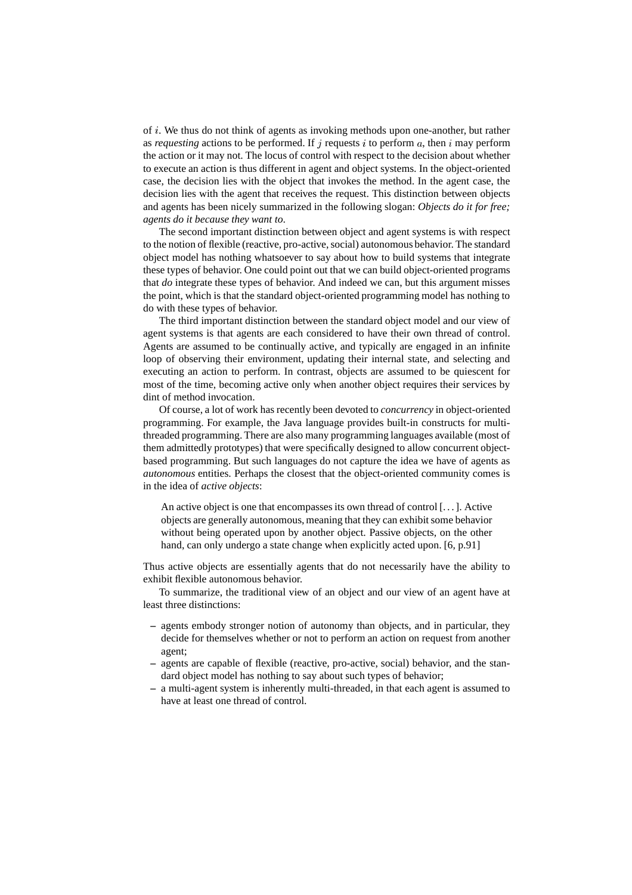of . We thus do not think of agents as invoking methods upon one-another, but rather as *requesting* actions to be performed. If  $j$  requests  $i$  to perform  $a$ , then  $i$  may perform the action or it may not. The locus of control with respect to the decision about whether to execute an action is thus different in agent and object systems. In the object-oriented case, the decision lies with the object that invokes the method. In the agent case, the decision lies with the agent that receives the request. This distinction between objects and agents has been nicely summarized in the following slogan: *Objects do it for free; agents do it because they want to*.

The second important distinction between object and agent systems is with respect to the notion of flexible (reactive, pro-active, social) autonomous behavior. The standard object model has nothing whatsoever to say about how to build systems that integrate these types of behavior. One could point out that we can build object-oriented programs that *do* integrate these types of behavior. And indeed we can, but this argument misses the point, which is that the standard object-oriented programming model has nothing to do with these types of behavior.

The third important distinction between the standard object model and our view of agent systems is that agents are each considered to have their own thread of control. Agents are assumed to be continually active, and typically are engaged in an infinite loop of observing their environment, updating their internal state, and selecting and executing an action to perform. In contrast, objects are assumed to be quiescent for most of the time, becoming active only when another object requires their services by dint of method invocation.

Of course, a lot of work has recently been devoted to *concurrency* in object-oriented programming. For example, the Java language provides built-in constructs for multithreaded programming. There are also many programming languages available (most of them admittedly prototypes) that were specifically designed to allow concurrent objectbased programming. But such languages do not capture the idea we have of agents as *autonomous* entities. Perhaps the closest that the object-oriented community comes is in the idea of *active objects*:

An active object is one that encompasses its own thread of control [. . .]. Active objects are generally autonomous, meaning that they can exhibit some behavior without being operated upon by another object. Passive objects, on the other hand, can only undergo a state change when explicitly acted upon. [6, p.91]

Thus active objects are essentially agents that do not necessarily have the ability to exhibit flexible autonomous behavior.

To summarize, the traditional view of an object and our view of an agent have at least three distinctions:

- **–** agents embody stronger notion of autonomy than objects, and in particular, they decide for themselves whether or not to perform an action on request from another agent;
- **–** agents are capable of flexible (reactive, pro-active, social) behavior, and the standard object model has nothing to say about such types of behavior;
- **–** a multi-agent system is inherently multi-threaded, in that each agent is assumed to have at least one thread of control.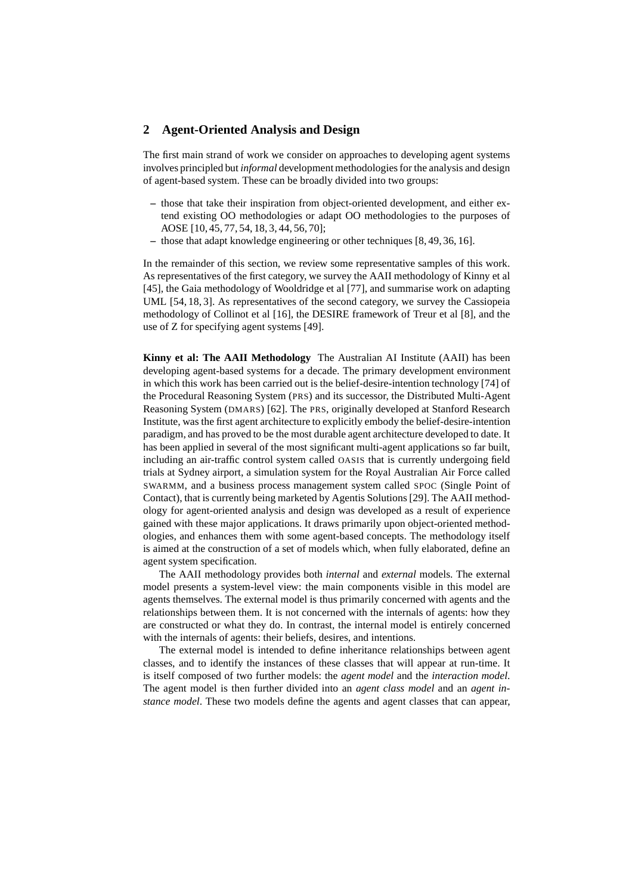# **2 Agent-Oriented Analysis and Design**

The first main strand of work we consider on approaches to developing agent systems involves principled but *informal* development methodologies for the analysis and design of agent-based system. These can be broadly divided into two groups:

- **–** those that take their inspiration from object-oriented development, and either extend existing OO methodologies or adapt OO methodologies to the purposes of AOSE [10, 45, 77, 54, 18, 3, 44, 56, 70];
- **–** those that adapt knowledge engineering or other techniques [8, 49, 36, 16].

In the remainder of this section, we review some representative samples of this work. As representatives of the first category, we survey the AAII methodology of Kinny et al [45], the Gaia methodology of Wooldridge et al [77], and summarise work on adapting UML [54, 18, 3]. As representatives of the second category, we survey the Cassiopeia methodology of Collinot et al [16], the DESIRE framework of Treur et al [8], and the use of Z for specifying agent systems [49].

**Kinny et al: The AAII Methodology** The Australian AI Institute (AAII) has been developing agent-based systems for a decade. The primary development environment in which this work has been carried out is the belief-desire-intention technology [74] of the Procedural Reasoning System (PRS) and its successor, the Distributed Multi-Agent Reasoning System (DMARS) [62]. The PRS, originally developed at Stanford Research Institute, was the first agent architecture to explicitly embody the belief-desire-intention paradigm, and has proved to be the most durable agent architecture developed to date. It has been applied in several of the most significant multi-agent applications so far built, including an air-traffic control system called OASIS that is currently undergoing field trials at Sydney airport, a simulation system for the Royal Australian Air Force called SWARMM, and a business process management system called SPOC (Single Point of Contact), that is currently being marketed by Agentis Solutions [29]. The AAII methodology for agent-oriented analysis and design was developed as a result of experience gained with these major applications. It draws primarily upon object-oriented methodologies, and enhances them with some agent-based concepts. The methodology itself is aimed at the construction of a set of models which, when fully elaborated, define an agent system specification.

The AAII methodology provides both *internal* and *external* models. The external model presents a system-level view: the main components visible in this model are agents themselves. The external model is thus primarily concerned with agents and the relationships between them. It is not concerned with the internals of agents: how they are constructed or what they do. In contrast, the internal model is entirely concerned with the internals of agents: their beliefs, desires, and intentions.

The external model is intended to define inheritance relationships between agent classes, and to identify the instances of these classes that will appear at run-time. It is itself composed of two further models: the *agent model* and the *interaction model*. The agent model is then further divided into an *agent class model* and an *agent instance model*. These two models define the agents and agent classes that can appear,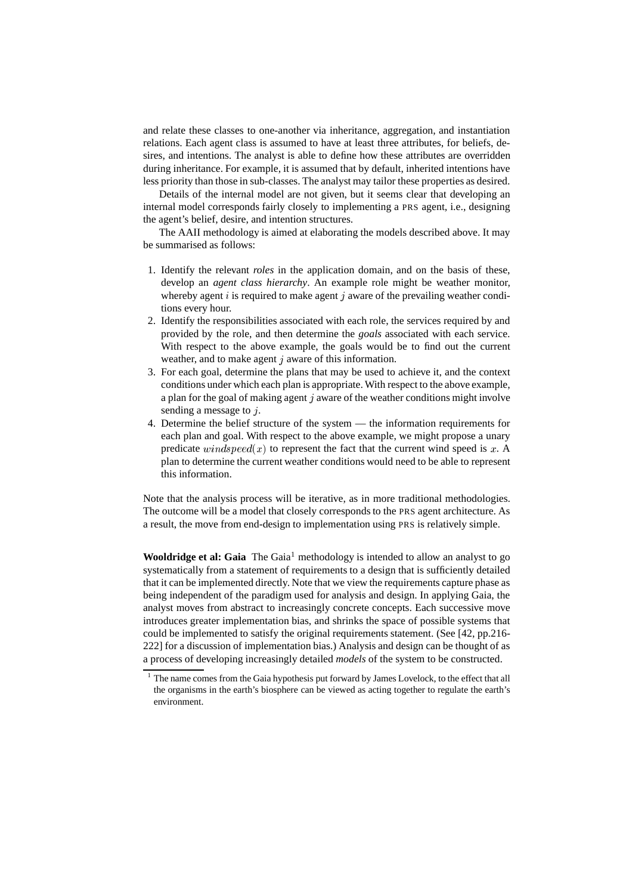and relate these classes to one-another via inheritance, aggregation, and instantiation relations. Each agent class is assumed to have at least three attributes, for beliefs, desires, and intentions. The analyst is able to define how these attributes are overridden during inheritance. For example, it is assumed that by default, inherited intentions have less priority than those in sub-classes. The analyst may tailor these properties as desired.

Details of the internal model are not given, but it seems clear that developing an internal model corresponds fairly closely to implementing a PRS agent, i.e., designing the agent's belief, desire, and intention structures.

The AAII methodology is aimed at elaborating the models described above. It may be summarised as follows:

- 1. Identify the relevant *roles* in the application domain, and on the basis of these, develop an *agent class hierarchy*. An example role might be weather monitor, whereby agent  $i$  is required to make agent  $j$  aware of the prevailing weather conditions every hour.
- 2. Identify the responsibilities associated with each role, the services required by and provided by the role, and then determine the *goals* associated with each service. With respect to the above example, the goals would be to find out the current weather, and to make agent  $j$  aware of this information.
- 3. For each goal, determine the plans that may be used to achieve it, and the context conditions under which each plan is appropriate. With respect to the above example, a plan for the goal of making agent  $j$  aware of the weather conditions might involve sending a message to  $j$ .
- 4. Determine the belief structure of the system the information requirements for each plan and goal. With respect to the above example, we might propose a unary predicate  $windspeed(x)$  to represent the fact that the current wind speed is x. A plan to determine the current weather conditions would need to be able to represent this information.

Note that the analysis process will be iterative, as in more traditional methodologies. The outcome will be a model that closely corresponds to the PRS agent architecture. As a result, the move from end-design to implementation using PRS is relatively simple.

**Wooldridge et al: Gaia** The Gaia<sup>1</sup> methodology is intended to allow an analyst to go systematically from a statement of requirements to a design that is sufficiently detailed that it can be implemented directly. Note that we view the requirements capture phase as being independent of the paradigm used for analysis and design. In applying Gaia, the analyst moves from abstract to increasingly concrete concepts. Each successive move introduces greater implementation bias, and shrinks the space of possible systems that could be implemented to satisfy the original requirements statement. (See [42, pp.216- 222] for a discussion of implementation bias.) Analysis and design can be thought of as a process of developing increasingly detailed *models* of the system to be constructed.

 $1$  The name comes from the Gaia hypothesis put forward by James Lovelock, to the effect that all the organisms in the earth's biosphere can be viewed as acting together to regulate the earth's environment.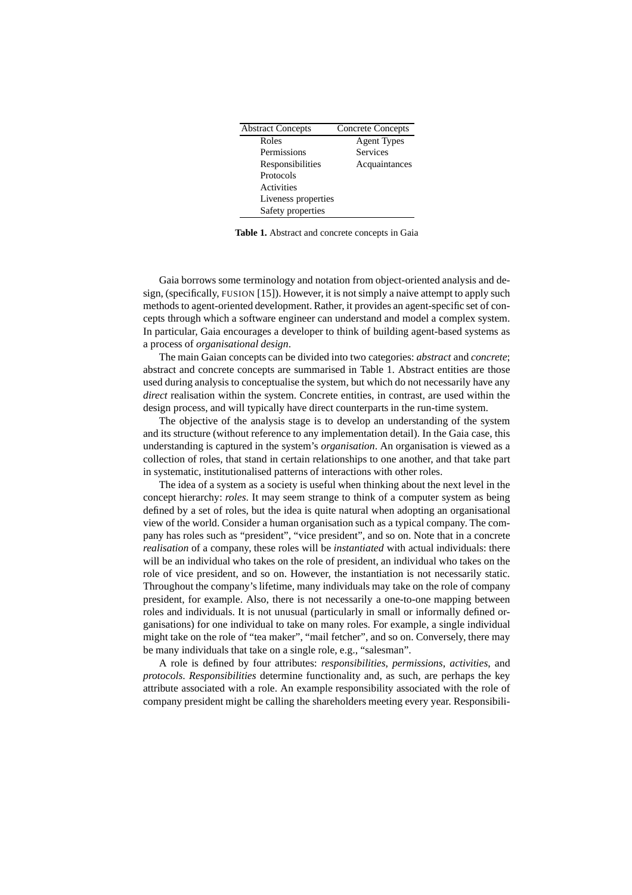| <b>Abstract Concepts</b> | <b>Concrete Concepts</b> |
|--------------------------|--------------------------|
| Roles                    | <b>Agent Types</b>       |
| Permissions              | Services                 |
| Responsibilities         | Acquaintances            |
| Protocols                |                          |
| <b>Activities</b>        |                          |
| Liveness properties      |                          |
| Safety properties        |                          |

**Table 1.** Abstract and concrete concepts in Gaia

Gaia borrows some terminology and notation from object-oriented analysis and design, (specifically, FUSION [15]). However, it is not simply a naive attempt to apply such methods to agent-oriented development. Rather, it provides an agent-specific set of concepts through which a software engineer can understand and model a complex system. In particular, Gaia encourages a developer to think of building agent-based systems as a process of *organisational design*.

The main Gaian concepts can be divided into two categories: *abstract* and *concrete*; abstract and concrete concepts are summarised in Table 1. Abstract entities are those used during analysis to conceptualise the system, but which do not necessarily have any *direct* realisation within the system. Concrete entities, in contrast, are used within the design process, and will typically have direct counterparts in the run-time system.

The objective of the analysis stage is to develop an understanding of the system and its structure (without reference to any implementation detail). In the Gaia case, this understanding is captured in the system's *organisation*. An organisation is viewed as a collection of roles, that stand in certain relationships to one another, and that take part in systematic, institutionalised patterns of interactions with other roles.

The idea of a system as a society is useful when thinking about the next level in the concept hierarchy: *roles*. It may seem strange to think of a computer system as being defined by a set of roles, but the idea is quite natural when adopting an organisational view of the world. Consider a human organisation such as a typical company. The company has roles such as "president", "vice president", and so on. Note that in a concrete *realisation* of a company, these roles will be *instantiated* with actual individuals: there will be an individual who takes on the role of president, an individual who takes on the role of vice president, and so on. However, the instantiation is not necessarily static. Throughout the company's lifetime, many individuals may take on the role of company president, for example. Also, there is not necessarily a one-to-one mapping between roles and individuals. It is not unusual (particularly in small or informally defined organisations) for one individual to take on many roles. For example, a single individual might take on the role of "tea maker", "mail fetcher", and so on. Conversely, there may be many individuals that take on a single role, e.g., "salesman".

A role is defined by four attributes: *responsibilities*, *permissions*, *activities*, and *protocols*. *Responsibilities* determine functionality and, as such, are perhaps the key attribute associated with a role. An example responsibility associated with the role of company president might be calling the shareholders meeting every year. Responsibili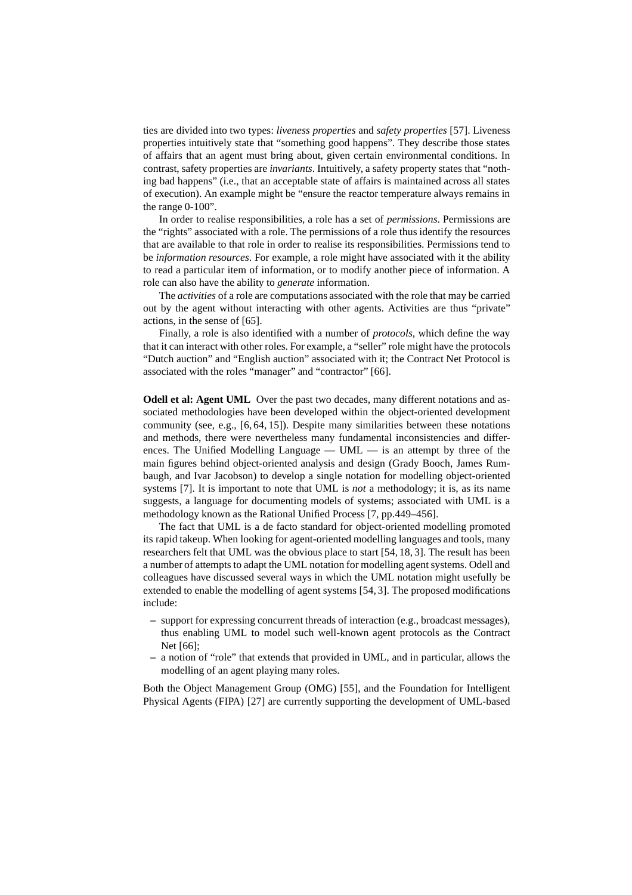ties are divided into two types: *liveness properties* and *safety properties* [57]. Liveness properties intuitively state that "something good happens". They describe those states of affairs that an agent must bring about, given certain environmental conditions. In contrast, safety properties are *invariants*. Intuitively, a safety property states that "nothing bad happens" (i.e., that an acceptable state of affairs is maintained across all states of execution). An example might be "ensure the reactor temperature always remains in the range 0-100".

In order to realise responsibilities, a role has a set of *permissions*. Permissions are the "rights" associated with a role. The permissions of a role thus identify the resources that are available to that role in order to realise its responsibilities. Permissions tend to be *information resources*. For example, a role might have associated with it the ability to read a particular item of information, or to modify another piece of information. A role can also have the ability to *generate* information.

The *activities* of a role are computations associated with the role that may be carried out by the agent without interacting with other agents. Activities are thus "private" actions, in the sense of [65].

Finally, a role is also identified with a number of *protocols*, which define the way that it can interact with other roles. For example, a "seller" role might have the protocols "Dutch auction" and "English auction" associated with it; the Contract Net Protocol is associated with the roles "manager" and "contractor" [66].

**Odell et al: Agent UML** Over the past two decades, many different notations and associated methodologies have been developed within the object-oriented development community (see, e.g., [6, 64, 15]). Despite many similarities between these notations and methods, there were nevertheless many fundamental inconsistencies and differences. The Unified Modelling Language — UML — is an attempt by three of the main figures behind object-oriented analysis and design (Grady Booch, James Rumbaugh, and Ivar Jacobson) to develop a single notation for modelling object-oriented systems [7]. It is important to note that UML is *not* a methodology; it is, as its name suggests, a language for documenting models of systems; associated with UML is a methodology known as the Rational Unified Process [7, pp.449–456].

The fact that UML is a de facto standard for object-oriented modelling promoted its rapid takeup. When looking for agent-oriented modelling languages and tools, many researchers felt that UML was the obvious place to start [54, 18, 3]. The result has been a number of attempts to adapt the UML notation for modelling agent systems. Odell and colleagues have discussed several ways in which the UML notation might usefully be extended to enable the modelling of agent systems [54, 3]. The proposed modifications include:

- **–** support for expressing concurrent threads of interaction (e.g., broadcast messages), thus enabling UML to model such well-known agent protocols as the Contract Net [66];
- **–** a notion of "role" that extends that provided in UML, and in particular, allows the modelling of an agent playing many roles.

Both the Object Management Group (OMG) [55], and the Foundation for Intelligent Physical Agents (FIPA) [27] are currently supporting the development of UML-based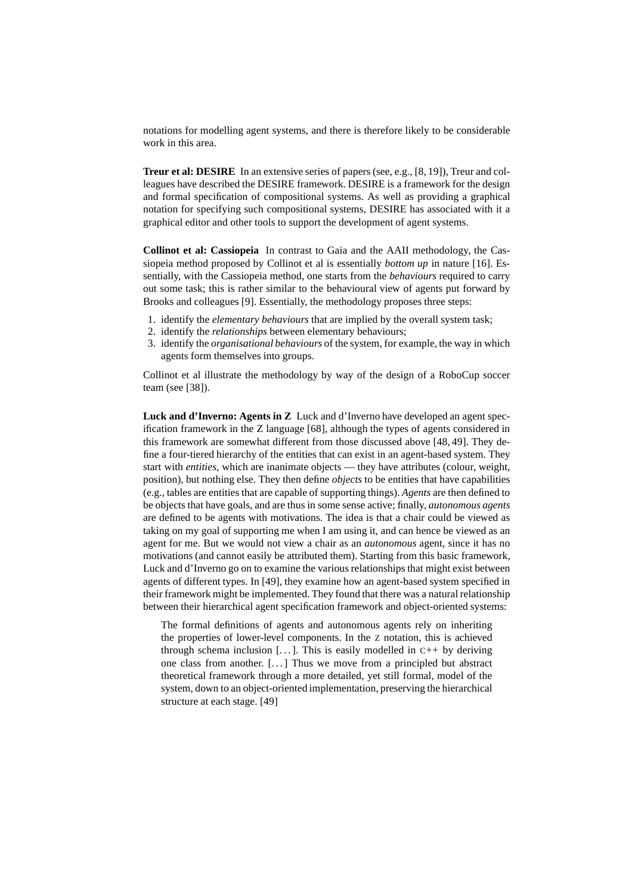notations for modelling agent systems, and there is therefore likely to be considerable work in this area.

**Treur et al: DESIRE** In an extensive series of papers (see, e.g., [8, 19]), Treur and colleagues have described the DESIRE framework. DESIRE is a framework for the design and formal specification of compositional systems. As well as providing a graphical notation for specifying such compositional systems, DESIRE has associated with it a graphical editor and other tools to support the development of agent systems.

**Collinot et al: Cassiopeia** In contrast to Gaia and the AAII methodology, the Cassiopeia method proposed by Collinot et al is essentially *bottom up* in nature [16]. Essentially, with the Cassiopeia method, one starts from the *behaviours* required to carry out some task; this is rather similar to the behavioural view of agents put forward by Brooks and colleagues [9]. Essentially, the methodology proposes three steps:

- 1. identify the *elementary behaviours* that are implied by the overall system task;
- 2. identify the *relationships* between elementary behaviours;
- 3. identify the *organisational behaviours* of the system, for example, the way in which agents form themselves into groups.

Collinot et al illustrate the methodology by way of the design of a RoboCup soccer team (see [38]).

**Luck and d'Inverno: Agents in Z** Luck and d'Inverno have developed an agent specification framework in the Z language [68], although the types of agents considered in this framework are somewhat different from those discussed above [48, 49]. They define a four-tiered hierarchy of the entities that can exist in an agent-based system. They start with *entities*, which are inanimate objects — they have attributes (colour, weight, position), but nothing else. They then define *objects* to be entities that have capabilities (e.g., tables are entities that are capable of supporting things). *Agents* are then defined to be objects that have goals, and are thus in some sense active; finally, *autonomous agents* are defined to be agents with motivations. The idea is that a chair could be viewed as taking on my goal of supporting me when I am using it, and can hence be viewed as an agent for me. But we would not view a chair as an *autonomous* agent, since it has no motivations (and cannot easily be attributed them). Starting from this basic framework, Luck and d'Inverno go on to examine the various relationships that might exist between agents of different types. In [49], they examine how an agent-based system specified in their framework might be implemented. They found that there was a natural relationship between their hierarchical agent specification framework and object-oriented systems:

The formal definitions of agents and autonomous agents rely on inheriting the properties of lower-level components. In the Z notation, this is achieved through schema inclusion [...]. This is easily modelled in  $C++$  by deriving one class from another. [. . .] Thus we move from a principled but abstract theoretical framework through a more detailed, yet still formal, model of the system, down to an object-oriented implementation, preserving the hierarchical structure at each stage. [49]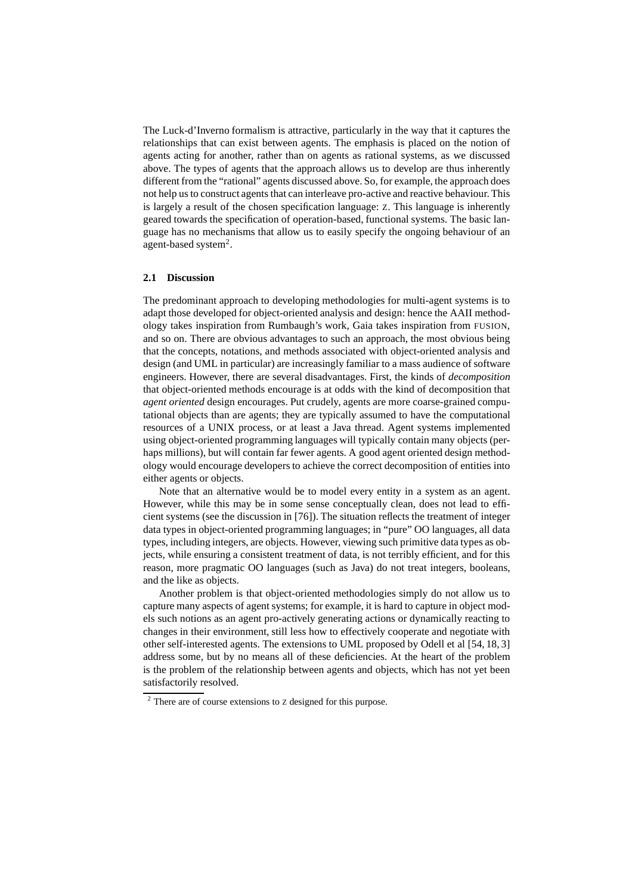The Luck-d'Inverno formalism is attractive, particularly in the way that it captures the relationships that can exist between agents. The emphasis is placed on the notion of agents acting for another, rather than on agents as rational systems, as we discussed above. The types of agents that the approach allows us to develop are thus inherently different from the "rational" agents discussed above. So, for example, the approach does not help us to construct agents that can interleave pro-active and reactive behaviour. This is largely a result of the chosen specification language: Z. This language is inherently geared towards the specification of operation-based, functional systems. The basic language has no mechanisms that allow us to easily specify the ongoing behaviour of an agent-based system<sup>2</sup>.

### **2.1 Discussion**

The predominant approach to developing methodologies for multi-agent systems is to adapt those developed for object-oriented analysis and design: hence the AAII methodology takes inspiration from Rumbaugh's work, Gaia takes inspiration from FUSION, and so on. There are obvious advantages to such an approach, the most obvious being that the concepts, notations, and methods associated with object-oriented analysis and design (and UML in particular) are increasingly familiar to a mass audience of software engineers. However, there are several disadvantages. First, the kinds of *decomposition* that object-oriented methods encourage is at odds with the kind of decomposition that *agent oriented* design encourages. Put crudely, agents are more coarse-grained computational objects than are agents; they are typically assumed to have the computational resources of a UNIX process, or at least a Java thread. Agent systems implemented using object-oriented programming languages will typically contain many objects (perhaps millions), but will contain far fewer agents. A good agent oriented design methodology would encourage developers to achieve the correct decomposition of entities into either agents or objects.

Note that an alternative would be to model every entity in a system as an agent. However, while this may be in some sense conceptually clean, does not lead to efficient systems (see the discussion in [76]). The situation reflects the treatment of integer data types in object-oriented programming languages; in "pure" OO languages, all data types, including integers, are objects. However, viewing such primitive data types as objects, while ensuring a consistent treatment of data, is not terribly efficient, and for this reason, more pragmatic OO languages (such as Java) do not treat integers, booleans, and the like as objects.

Another problem is that object-oriented methodologies simply do not allow us to capture many aspects of agent systems; for example, it is hard to capture in object models such notions as an agent pro-actively generating actions or dynamically reacting to changes in their environment, still less how to effectively cooperate and negotiate with other self-interested agents. The extensions to UML proposed by Odell et al [54, 18, 3] address some, but by no means all of these deficiencies. At the heart of the problem is the problem of the relationship between agents and objects, which has not yet been satisfactorily resolved.

<sup>&</sup>lt;sup>2</sup> There are of course extensions to Z designed for this purpose.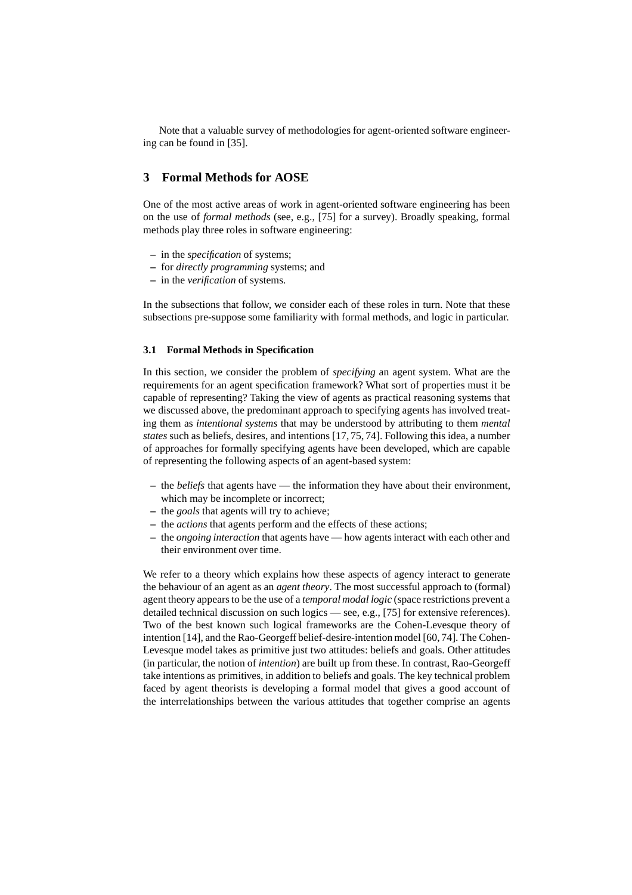Note that a valuable survey of methodologies for agent-oriented software engineering can be found in [35].

# **3 Formal Methods for AOSE**

One of the most active areas of work in agent-oriented software engineering has been on the use of *formal methods* (see, e.g., [75] for a survey). Broadly speaking, formal methods play three roles in software engineering:

- **–** in the *specification* of systems;
- **–** for *directly programming* systems; and
- **–** in the *verification* of systems.

In the subsections that follow, we consider each of these roles in turn. Note that these subsections pre-suppose some familiarity with formal methods, and logic in particular.

#### **3.1 Formal Methods in Specification**

In this section, we consider the problem of *specifying* an agent system. What are the requirements for an agent specification framework? What sort of properties must it be capable of representing? Taking the view of agents as practical reasoning systems that we discussed above, the predominant approach to specifying agents has involved treating them as *intentional systems* that may be understood by attributing to them *mental states* such as beliefs, desires, and intentions [17, 75, 74]. Following this idea, a number of approaches for formally specifying agents have been developed, which are capable of representing the following aspects of an agent-based system:

- **–** the *beliefs* that agents have the information they have about their environment, which may be incomplete or incorrect;
- **–** the *goals* that agents will try to achieve;
- **–** the *actions* that agents perform and the effects of these actions;
- **–** the *ongoing interaction* that agents have how agents interact with each other and their environment over time.

We refer to a theory which explains how these aspects of agency interact to generate the behaviour of an agent as an *agent theory*. The most successful approach to (formal) agent theory appears to be the use of a *temporal modal logic* (space restrictions prevent a detailed technical discussion on such logics — see, e.g., [75] for extensive references). Two of the best known such logical frameworks are the Cohen-Levesque theory of intention [14], and the Rao-Georgeff belief-desire-intention model [60, 74]. The Cohen-Levesque model takes as primitive just two attitudes: beliefs and goals. Other attitudes (in particular, the notion of *intention*) are built up from these. In contrast, Rao-Georgeff take intentions as primitives, in addition to beliefs and goals. The key technical problem faced by agent theorists is developing a formal model that gives a good account of the interrelationships between the various attitudes that together comprise an agents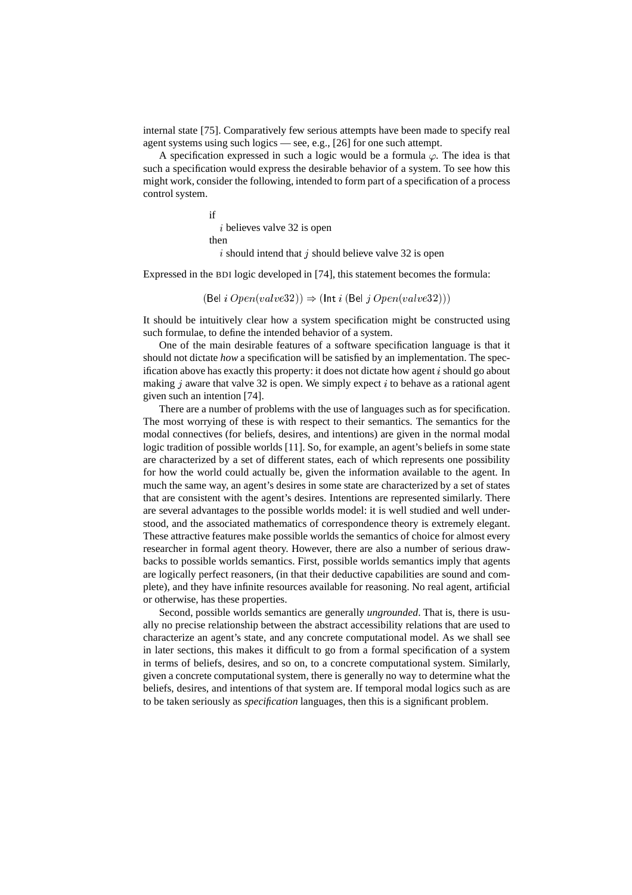internal state [75]. Comparatively few serious attempts have been made to specify real agent systems using such logics — see, e.g., [26] for one such attempt.

A specification expressed in such a logic would be a formula  $\varphi$ . The idea is that such a specification would express the desirable behavior of a system. To see how this might work, consider the following, intended to form part of a specification of a process control system.

> if  $i$  believes valve 32 is open then i should intend that  $j$  should believe valve 32 is open

Expressed in the BDI logic developed in [74], this statement becomes the formula:

 $\left( \mathsf{Bel}~ i~Open(value32) \right) \Rightarrow \left( \mathsf{Int}~ i~(\mathsf{Bel}~ j~Open(value32)) \right)$ 

It should be intuitively clear how a system specification might be constructed using such formulae, to define the intended behavior of a system.

One of the main desirable features of a software specification language is that it should not dictate *how* a specification will be satisfied by an implementation. The specification above has exactly this property: it does not dictate how agent  $i$  should go about making  $j$  aware that valve 32 is open. We simply expect  $i$  to behave as a rational agent given such an intention [74].

There are a number of problems with the use of languages such as for specification. The most worrying of these is with respect to their semantics. The semantics for the modal connectives (for beliefs, desires, and intentions) are given in the normal modal logic tradition of possible worlds [11]. So, for example, an agent's beliefs in some state are characterized by a set of different states, each of which represents one possibility for how the world could actually be, given the information available to the agent. In much the same way, an agent's desires in some state are characterized by a set of states that are consistent with the agent's desires. Intentions are represented similarly. There are several advantages to the possible worlds model: it is well studied and well understood, and the associated mathematics of correspondence theory is extremely elegant. These attractive features make possible worlds the semantics of choice for almost every researcher in formal agent theory. However, there are also a number of serious drawbacks to possible worlds semantics. First, possible worlds semantics imply that agents are logically perfect reasoners, (in that their deductive capabilities are sound and complete), and they have infinite resources available for reasoning. No real agent, artificial or otherwise, has these properties.

Second, possible worlds semantics are generally *ungrounded*. That is, there is usually no precise relationship between the abstract accessibility relations that are used to characterize an agent's state, and any concrete computational model. As we shall see in later sections, this makes it difficult to go from a formal specification of a system in terms of beliefs, desires, and so on, to a concrete computational system. Similarly, given a concrete computational system, there is generally no way to determine what the beliefs, desires, and intentions of that system are. If temporal modal logics such as are to be taken seriously as *specification* languages, then this is a significant problem.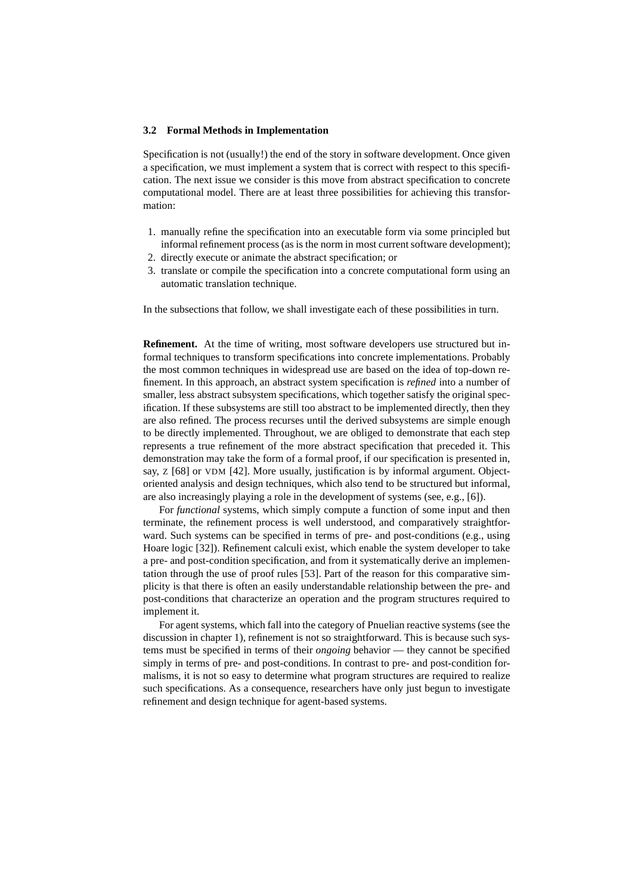#### **3.2 Formal Methods in Implementation**

Specification is not (usually!) the end of the story in software development. Once given a specification, we must implement a system that is correct with respect to this specification. The next issue we consider is this move from abstract specification to concrete computational model. There are at least three possibilities for achieving this transformation:

- 1. manually refine the specification into an executable form via some principled but informal refinement process (as is the norm in most current software development);
- 2. directly execute or animate the abstract specification; or
- 3. translate or compile the specification into a concrete computational form using an automatic translation technique.

In the subsections that follow, we shall investigate each of these possibilities in turn.

**Refinement.** At the time of writing, most software developers use structured but informal techniques to transform specifications into concrete implementations. Probably the most common techniques in widespread use are based on the idea of top-down refinement. In this approach, an abstract system specification is *refined* into a number of smaller, less abstract subsystem specifications, which together satisfy the original specification. If these subsystems are still too abstract to be implemented directly, then they are also refined. The process recurses until the derived subsystems are simple enough to be directly implemented. Throughout, we are obliged to demonstrate that each step represents a true refinement of the more abstract specification that preceded it. This demonstration may take the form of a formal proof, if our specification is presented in, say, Z [68] or VDM [42]. More usually, justification is by informal argument. Objectoriented analysis and design techniques, which also tend to be structured but informal, are also increasingly playing a role in the development of systems (see, e.g., [6]).

For *functional* systems, which simply compute a function of some input and then terminate, the refinement process is well understood, and comparatively straightforward. Such systems can be specified in terms of pre- and post-conditions (e.g., using Hoare logic [32]). Refinement calculi exist, which enable the system developer to take a pre- and post-condition specification, and from it systematically derive an implementation through the use of proof rules [53]. Part of the reason for this comparative simplicity is that there is often an easily understandable relationship between the pre- and post-conditions that characterize an operation and the program structures required to implement it.

For agent systems, which fall into the category of Pnuelian reactive systems (see the discussion in chapter 1), refinement is not so straightforward. This is because such systems must be specified in terms of their *ongoing* behavior — they cannot be specified simply in terms of pre- and post-conditions. In contrast to pre- and post-condition formalisms, it is not so easy to determine what program structures are required to realize such specifications. As a consequence, researchers have only just begun to investigate refinement and design technique for agent-based systems.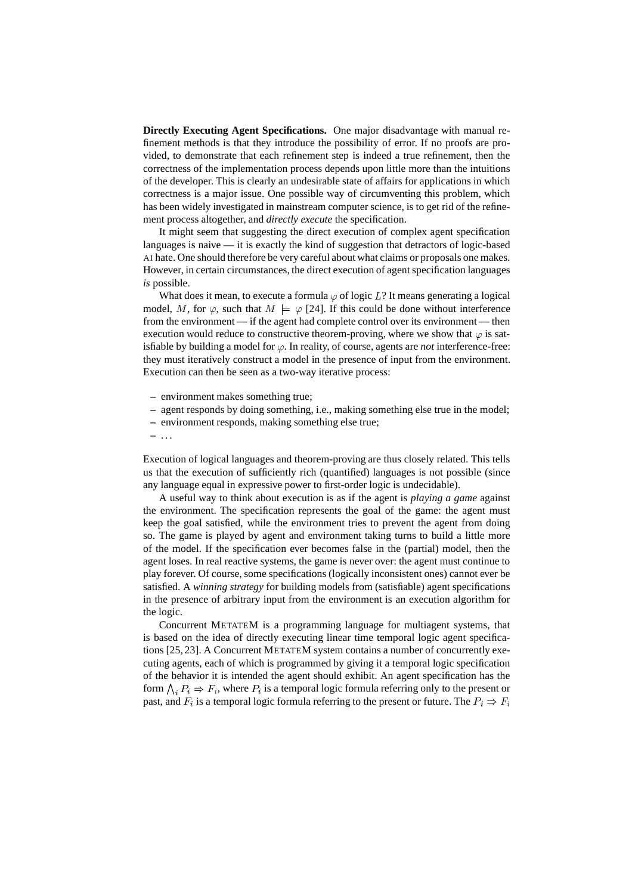**Directly Executing Agent Specifications.** One major disadvantage with manual refinement methods is that they introduce the possibility of error. If no proofs are provided, to demonstrate that each refinement step is indeed a true refinement, then the correctness of the implementation process depends upon little more than the intuitions of the developer. This is clearly an undesirable state of affairs for applications in which correctness is a major issue. One possible way of circumventing this problem, which has been widely investigated in mainstream computer science, is to get rid of the refinement process altogether, and *directly execute* the specification.

It might seem that suggesting the direct execution of complex agent specification languages is naive — it is exactly the kind of suggestion that detractors of logic-based AI hate. One should therefore be very careful about what claims or proposals one makes. However, in certain circumstances, the direct execution of agent specification languages *is* possible.

What does it mean, to execute a formula  $\varphi$  of logic L? It means generating a logical model, M, for  $\varphi$ , such that  $M \models \varphi$  [24]. If this could be done without interference from the environment — if the agent had complete control over its environment — then execution would reduce to constructive theorem-proving, where we show that  $\varphi$  is satisfiable by building a model for  $\varphi$ . In reality, of course, agents are *not* interference-free: they must iteratively construct a model in the presence of input from the environment. Execution can then be seen as a two-way iterative process:

- **–** environment makes something true;
- **–** agent responds by doing something, i.e., making something else true in the model;
- **–** environment responds, making something else true;
- **–** . . .

Execution of logical languages and theorem-proving are thus closely related. This tells us that the execution of sufficiently rich (quantified) languages is not possible (since any language equal in expressive power to first-order logic is undecidable).

A useful way to think about execution is as if the agent is *playing a game* against the environment. The specification represents the goal of the game: the agent must keep the goal satisfied, while the environment tries to prevent the agent from doing so. The game is played by agent and environment taking turns to build a little more of the model. If the specification ever becomes false in the (partial) model, then the agent loses. In real reactive systems, the game is never over: the agent must continue to play forever. Of course, some specifications (logically inconsistent ones) cannot ever be satisfied. A *winning strategy* for building models from (satisfiable) agent specifications in the presence of arbitrary input from the environment is an execution algorithm for the logic.

Concurrent METATEM is a programming language for multiagent systems, that is based on the idea of directly executing linear time temporal logic agent specifications [25, 23]. A Concurrent METATEM system contains a number of concurrently executing agents, each of which is programmed by giving it a temporal logic specification of the behavior it is intended the agent should exhibit. An agent specification has the form  $\bigwedge_i P_i \Rightarrow F_i$ , where  $P_i$  is a temporal logic formula referring only to the present or past, and  $F_i$  is a temporal logic formula referring to the present or future. The  $P_i \Rightarrow F_i$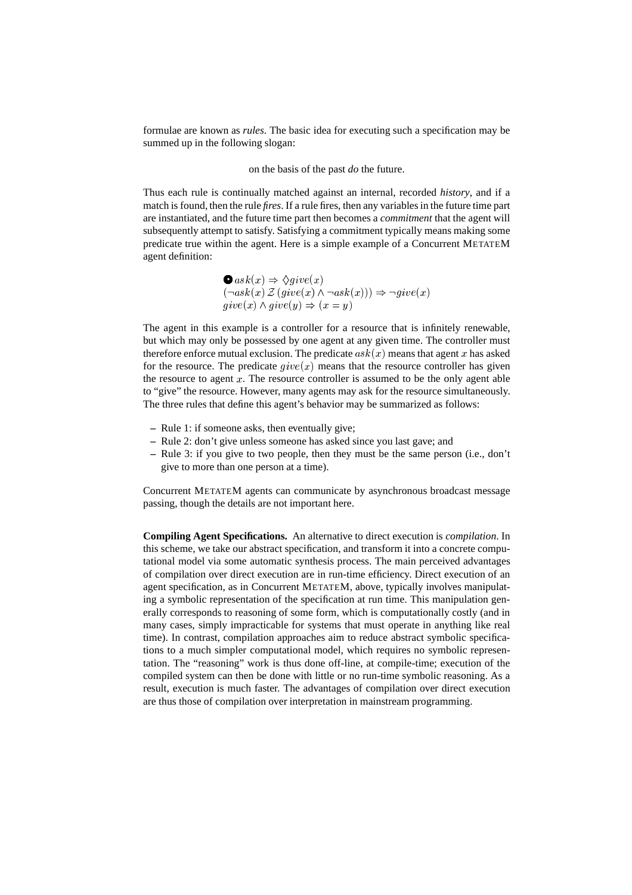formulae are known as *rules*. The basic idea for executing such a specification may be summed up in the following slogan:

#### on the basis of the past *do* the future.

Thus each rule is continually matched against an internal, recorded *history*, and if a match is found, then the rule *fires*. If a rule fires, then any variablesin the future time part are instantiated, and the future time part then becomes a *commitment* that the agent will subsequently attempt to satisfy. Satisfying a commitment typically means making some predicate true within the agent. Here is a simple example of a Concurrent METATEM agent definition:

$$
\begin{aligned}\n\mathbf{Q}\,ask(x) &\Rightarrow \Diamond give(x) \\
(\neg ask(x) \mathcal{Z}\, (give(x) \land \neg ask(x))) &\Rightarrow \neg give(x) \\
\text{give}(x) \land give(y) &\Rightarrow (x = y)\n\end{aligned}
$$

The agent in this example is a controller for a resource that is infinitely renewable, but which may only be possessed by one agent at any given time. The controller must therefore enforce mutual exclusion. The predicate  $ask(x)$  means that agent x has asked for the resource. The predicate  $give(x)$  means that the resource controller has given the resource to agent  $x$ . The resource controller is assumed to be the only agent able to "give" the resource. However, many agents may ask for the resource simultaneously. The three rules that define this agent's behavior may be summarized as follows:

- **–** Rule 1: if someone asks, then eventually give;
- **–** Rule 2: don't give unless someone has asked since you last gave; and
- **–** Rule 3: if you give to two people, then they must be the same person (i.e., don't give to more than one person at a time).

Concurrent METATEM agents can communicate by asynchronous broadcast message passing, though the details are not important here.

**Compiling Agent Specifications.** An alternative to direct execution is *compilation*. In this scheme, we take our abstract specification, and transform it into a concrete computational model via some automatic synthesis process. The main perceived advantages of compilation over direct execution are in run-time efficiency. Direct execution of an agent specification, as in Concurrent METATEM, above, typically involves manipulating a symbolic representation of the specification at run time. This manipulation generally corresponds to reasoning of some form, which is computationally costly (and in many cases, simply impracticable for systems that must operate in anything like real time). In contrast, compilation approaches aim to reduce abstract symbolic specifications to a much simpler computational model, which requires no symbolic representation. The "reasoning" work is thus done off-line, at compile-time; execution of the compiled system can then be done with little or no run-time symbolic reasoning. As a result, execution is much faster. The advantages of compilation over direct execution are thus those of compilation over interpretation in mainstream programming.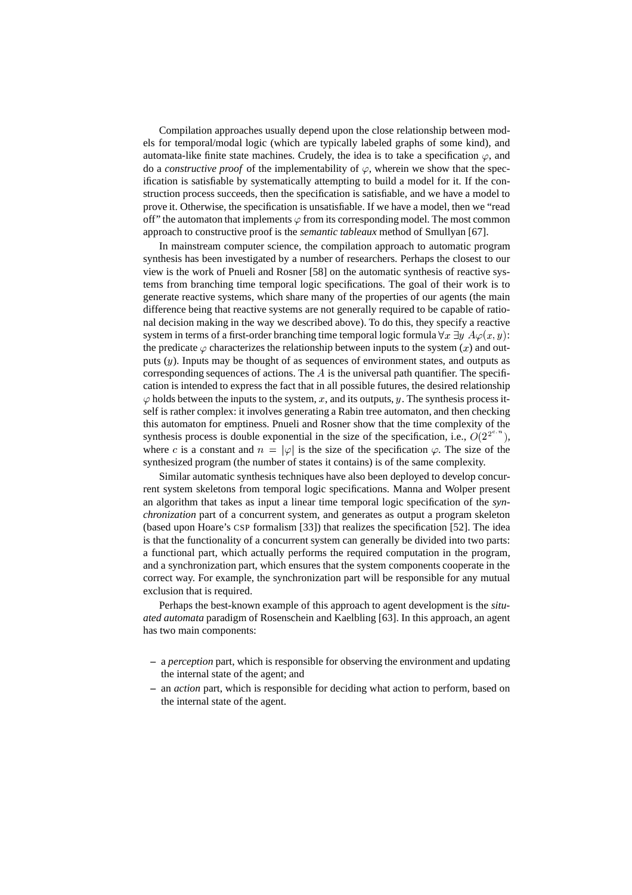Compilation approaches usually depend upon the close relationship between models for temporal/modal logic (which are typically labeled graphs of some kind), and automata-like finite state machines. Crudely, the idea is to take a specification  $\varphi$ , and do a *constructive proof* of the implementability of  $\varphi$ , wherein we show that the specification is satisfiable by systematically attempting to build a model for it. If the construction process succeeds, then the specification is satisfiable, and we have a model to prove it. Otherwise, the specification is unsatisfiable. If we have a model, then we "read off" the automaton that implements  $\varphi$  from its corresponding model. The most common approach to constructive proof is the *semantic tableaux* method of Smullyan [67].

In mainstream computer science, the compilation approach to automatic program synthesis has been investigated by a number of researchers. Perhaps the closest to our view is the work of Pnueli and Rosner [58] on the automatic synthesis of reactive systems from branching time temporal logic specifications. The goal of their work is to generate reactive systems, which share many of the properties of our agents (the main difference being that reactive systems are not generally required to be capable of rational decision making in the way we described above). To do this, they specify a reactive system in terms of a first-order branching time temporal logic formula  $\forall x \exists y \ A \varphi(x, y)$ : the predicate  $\varphi$  characterizes the relationship between inputs to the system (x) and outputs ( ). Inputs may be thought of as sequences of environment states, and outputs as corresponding sequences of actions. The  $A$  is the universal path quantifier. The specification is intended to express the fact that in all possible futures, the desired relationship  $\varphi$  holds between the inputs to the system, x, and its outputs, y. The synthesis process itself is rather complex: it involves generating a Rabin tree automaton, and then checking this automaton for emptiness. Pnueli and Rosner show that the time complexity of the synthesis process is double exponential in the size of the specification, i.e.,  $O(2^{2^{n}})$ , where c is a constant and  $n = |\varphi|$  is the size of the specification  $\varphi$ . The size of the synthesized program (the number of states it contains) is of the same complexity.

Similar automatic synthesis techniques have also been deployed to develop concurrent system skeletons from temporal logic specifications. Manna and Wolper present an algorithm that takes as input a linear time temporal logic specification of the *synchronization* part of a concurrent system, and generates as output a program skeleton (based upon Hoare's CSP formalism [33]) that realizes the specification [52]. The idea is that the functionality of a concurrent system can generally be divided into two parts: a functional part, which actually performs the required computation in the program, and a synchronization part, which ensures that the system components cooperate in the correct way. For example, the synchronization part will be responsible for any mutual exclusion that is required.

Perhaps the best-known example of this approach to agent development is the *situated automata* paradigm of Rosenschein and Kaelbling [63]. In this approach, an agent has two main components:

- **–** a *perception* part, which is responsible for observing the environment and updating the internal state of the agent; and
- **–** an *action* part, which is responsible for deciding what action to perform, based on the internal state of the agent.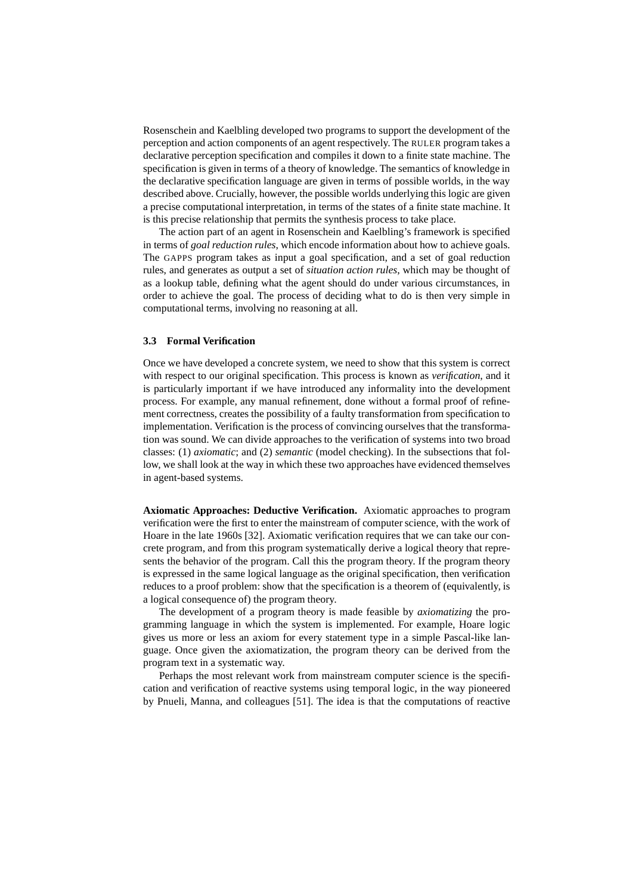Rosenschein and Kaelbling developed two programs to support the development of the perception and action components of an agent respectively. The RULER program takes a declarative perception specification and compiles it down to a finite state machine. The specification is given in terms of a theory of knowledge. The semantics of knowledge in the declarative specification language are given in terms of possible worlds, in the way described above. Crucially, however, the possible worlds underlying this logic are given a precise computational interpretation, in terms of the states of a finite state machine. It is this precise relationship that permits the synthesis process to take place.

The action part of an agent in Rosenschein and Kaelbling's framework is specified in terms of *goal reduction rules*, which encode information about how to achieve goals. The GAPPS program takes as input a goal specification, and a set of goal reduction rules, and generates as output a set of *situation action rules*, which may be thought of as a lookup table, defining what the agent should do under various circumstances, in order to achieve the goal. The process of deciding what to do is then very simple in computational terms, involving no reasoning at all.

#### **3.3 Formal Verification**

Once we have developed a concrete system, we need to show that this system is correct with respect to our original specification. This process is known as *verification*, and it is particularly important if we have introduced any informality into the development process. For example, any manual refinement, done without a formal proof of refinement correctness, creates the possibility of a faulty transformation from specification to implementation. Verification is the process of convincing ourselves that the transformation was sound. We can divide approaches to the verification of systems into two broad classes: (1) *axiomatic*; and (2) *semantic* (model checking). In the subsections that follow, we shall look at the way in which these two approaches have evidenced themselves in agent-based systems.

**Axiomatic Approaches: Deductive Verification.** Axiomatic approaches to program verification were the first to enter the mainstream of computer science, with the work of Hoare in the late 1960s [32]. Axiomatic verification requires that we can take our concrete program, and from this program systematically derive a logical theory that represents the behavior of the program. Call this the program theory. If the program theory is expressed in the same logical language as the original specification, then verification reduces to a proof problem: show that the specification is a theorem of (equivalently, is a logical consequence of) the program theory.

The development of a program theory is made feasible by *axiomatizing* the programming language in which the system is implemented. For example, Hoare logic gives us more or less an axiom for every statement type in a simple Pascal-like language. Once given the axiomatization, the program theory can be derived from the program text in a systematic way.

Perhaps the most relevant work from mainstream computer science is the specification and verification of reactive systems using temporal logic, in the way pioneered by Pnueli, Manna, and colleagues [51]. The idea is that the computations of reactive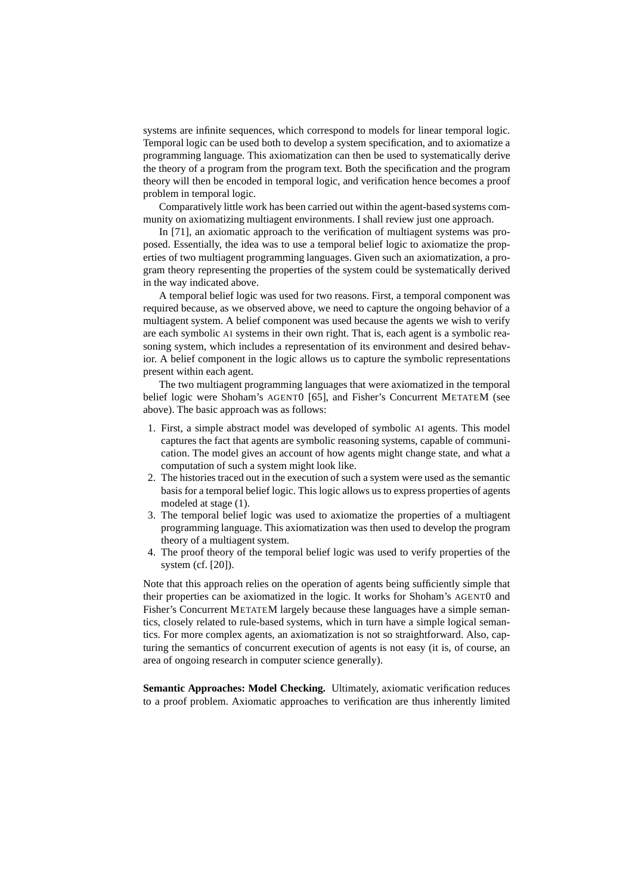systems are infinite sequences, which correspond to models for linear temporal logic. Temporal logic can be used both to develop a system specification, and to axiomatize a programming language. This axiomatization can then be used to systematically derive the theory of a program from the program text. Both the specification and the program theory will then be encoded in temporal logic, and verification hence becomes a proof problem in temporal logic.

Comparatively little work has been carried out within the agent-based systems community on axiomatizing multiagent environments. I shall review just one approach.

In [71], an axiomatic approach to the verification of multiagent systems was proposed. Essentially, the idea was to use a temporal belief logic to axiomatize the properties of two multiagent programming languages. Given such an axiomatization, a program theory representing the properties of the system could be systematically derived in the way indicated above.

A temporal belief logic was used for two reasons. First, a temporal component was required because, as we observed above, we need to capture the ongoing behavior of a multiagent system. A belief component was used because the agents we wish to verify are each symbolic AI systems in their own right. That is, each agent is a symbolic reasoning system, which includes a representation of its environment and desired behavior. A belief component in the logic allows us to capture the symbolic representations present within each agent.

The two multiagent programming languages that were axiomatized in the temporal belief logic were Shoham's AGENT0 [65], and Fisher's Concurrent METATEM (see above). The basic approach was as follows:

- 1. First, a simple abstract model was developed of symbolic AI agents. This model captures the fact that agents are symbolic reasoning systems, capable of communication. The model gives an account of how agents might change state, and what a computation of such a system might look like.
- 2. The histories traced out in the execution of such a system were used as the semantic basis for a temporal belief logic. This logic allows us to express properties of agents modeled at stage (1).
- 3. The temporal belief logic was used to axiomatize the properties of a multiagent programming language. This axiomatization was then used to develop the program theory of a multiagent system.
- 4. The proof theory of the temporal belief logic was used to verify properties of the system (cf. [20]).

Note that this approach relies on the operation of agents being sufficiently simple that their properties can be axiomatized in the logic. It works for Shoham's AGENT0 and Fisher's Concurrent METATEM largely because these languages have a simple semantics, closely related to rule-based systems, which in turn have a simple logical semantics. For more complex agents, an axiomatization is not so straightforward. Also, capturing the semantics of concurrent execution of agents is not easy (it is, of course, an area of ongoing research in computer science generally).

**Semantic Approaches: Model Checking.** Ultimately, axiomatic verification reduces to a proof problem. Axiomatic approaches to verification are thus inherently limited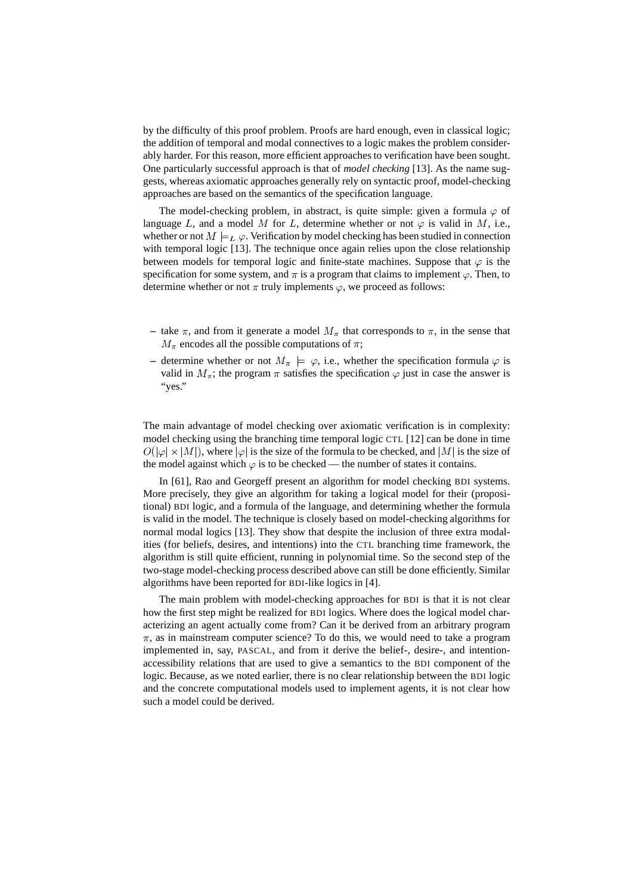by the difficulty of this proof problem. Proofs are hard enough, even in classical logic; the addition of temporal and modal connectives to a logic makes the problem considerably harder. For this reason, more efficient approaches to verification have been sought. One particularly successful approach is that of *model checking* [13]. As the name suggests, whereas axiomatic approaches generally rely on syntactic proof, model-checking approaches are based on the semantics of the specification language.

The model-checking problem, in abstract, is quite simple: given a formula  $\varphi$  of language L, and a model M for L, determine whether or not  $\varphi$  is valid in M, i.e., whether or not  $M \models_L \varphi$ . Verification by model checking has been studied in connection with temporal logic [13]. The technique once again relies upon the close relationship between models for temporal logic and finite-state machines. Suppose that  $\varphi$  is the specification for some system, and  $\pi$  is a program that claims to implement  $\varphi$ . Then, to determine whether or not  $\pi$  truly implements  $\varphi$ , we proceed as follows:

- take  $\pi$ , and from it generate a model  $M_{\pi}$  that corresponds to  $\pi$ , in the sense that  $M_{\pi}$  encodes all the possible computations of  $\pi$ ;
- determine whether or not  $M_{\pi} \models \varphi$ , i.e., whether the specification formula  $\varphi$  is valid in  $M_{\pi}$ ; the program  $\pi$  satisfies the specification  $\varphi$  just in case the answer is "yes."

The main advantage of model checking over axiomatic verification is in complexity: model checking using the branching time temporal logic CTL [12] can be done in time  $O(|\varphi| \times |M|)$ , where  $|\varphi|$  is the size of the formula to be checked, and  $|M|$  is the size of the model against which  $\varphi$  is to be checked — the number of states it contains.

In [61], Rao and Georgeff present an algorithm for model checking BDI systems. More precisely, they give an algorithm for taking a logical model for their (propositional) BDI logic, and a formula of the language, and determining whether the formula is valid in the model. The technique is closely based on model-checking algorithms for normal modal logics [13]. They show that despite the inclusion of three extra modalities (for beliefs, desires, and intentions) into the CTL branching time framework, the algorithm is still quite efficient, running in polynomial time. So the second step of the two-stage model-checking process described above can still be done efficiently. Similar algorithms have been reported for BDI-like logics in [4].

The main problem with model-checking approaches for BDI is that it is not clear how the first step might be realized for BDI logics. Where does the logical model characterizing an agent actually come from? Can it be derived from an arbitrary program  $\pi$ , as in mainstream computer science? To do this, we would need to take a program implemented in, say, PASCAL, and from it derive the belief-, desire-, and intentionaccessibility relations that are used to give a semantics to the BDI component of the logic. Because, as we noted earlier, there is no clear relationship between the BDI logic and the concrete computational models used to implement agents, it is not clear how such a model could be derived.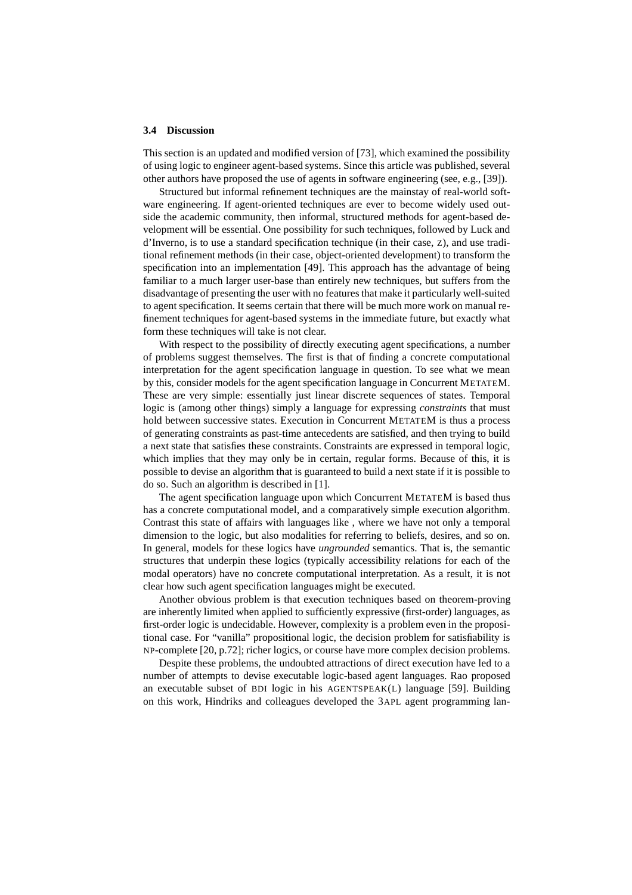#### **3.4 Discussion**

This section is an updated and modified version of [73], which examined the possibility of using logic to engineer agent-based systems. Since this article was published, several other authors have proposed the use of agents in software engineering (see, e.g., [39]).

Structured but informal refinement techniques are the mainstay of real-world software engineering. If agent-oriented techniques are ever to become widely used outside the academic community, then informal, structured methods for agent-based development will be essential. One possibility for such techniques, followed by Luck and d'Inverno, is to use a standard specification technique (in their case, Z), and use traditional refinement methods (in their case, object-oriented development) to transform the specification into an implementation [49]. This approach has the advantage of being familiar to a much larger user-base than entirely new techniques, but suffers from the disadvantage of presenting the user with no features that make it particularly well-suited to agent specification. It seems certain that there will be much more work on manual refinement techniques for agent-based systems in the immediate future, but exactly what form these techniques will take is not clear.

With respect to the possibility of directly executing agent specifications, a number of problems suggest themselves. The first is that of finding a concrete computational interpretation for the agent specification language in question. To see what we mean by this, consider models for the agent specification language in Concurrent METATEM. These are very simple: essentially just linear discrete sequences of states. Temporal logic is (among other things) simply a language for expressing *constraints* that must hold between successive states. Execution in Concurrent METATEM is thus a process of generating constraints as past-time antecedents are satisfied, and then trying to build a next state that satisfies these constraints. Constraints are expressed in temporal logic, which implies that they may only be in certain, regular forms. Because of this, it is possible to devise an algorithm that is guaranteed to build a next state if it is possible to do so. Such an algorithm is described in [1].

The agent specification language upon which Concurrent METATEM is based thus has a concrete computational model, and a comparatively simple execution algorithm. Contrast this state of affairs with languages like , where we have not only a temporal dimension to the logic, but also modalities for referring to beliefs, desires, and so on. In general, models for these logics have *ungrounded* semantics. That is, the semantic structures that underpin these logics (typically accessibility relations for each of the modal operators) have no concrete computational interpretation. As a result, it is not clear how such agent specification languages might be executed.

Another obvious problem is that execution techniques based on theorem-proving are inherently limited when applied to sufficiently expressive (first-order) languages, as first-order logic is undecidable. However, complexity is a problem even in the propositional case. For "vanilla" propositional logic, the decision problem for satisfiability is NP-complete [20, p.72]; richer logics, or course have more complex decision problems.

Despite these problems, the undoubted attractions of direct execution have led to a number of attempts to devise executable logic-based agent languages. Rao proposed an executable subset of BDI logic in his AGENTSPEAK(L) language [59]. Building on this work, Hindriks and colleagues developed the 3APL agent programming lan-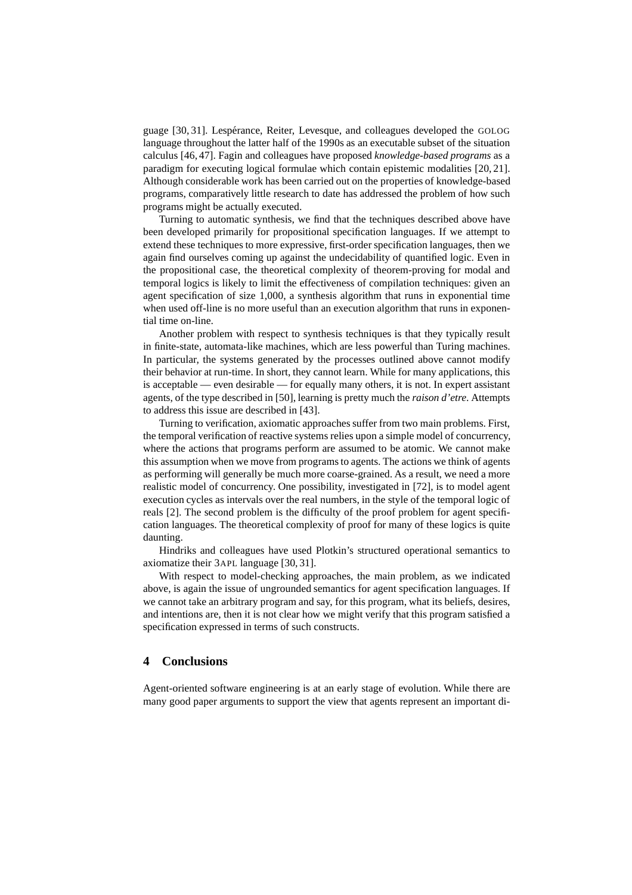guage [30, 31]. Lespérance, Reiter, Levesque, and colleagues developed the GOLOG language throughout the latter half of the 1990s as an executable subset of the situation calculus [46, 47]. Fagin and colleagues have proposed *knowledge-based programs* as a paradigm for executing logical formulae which contain epistemic modalities [20, 21]. Although considerable work has been carried out on the properties of knowledge-based programs, comparatively little research to date has addressed the problem of how such programs might be actually executed.

Turning to automatic synthesis, we find that the techniques described above have been developed primarily for propositional specification languages. If we attempt to extend these techniques to more expressive, first-order specification languages, then we again find ourselves coming up against the undecidability of quantified logic. Even in the propositional case, the theoretical complexity of theorem-proving for modal and temporal logics is likely to limit the effectiveness of compilation techniques: given an agent specification of size 1,000, a synthesis algorithm that runs in exponential time when used off-line is no more useful than an execution algorithm that runs in exponential time on-line.

Another problem with respect to synthesis techniques is that they typically result in finite-state, automata-like machines, which are less powerful than Turing machines. In particular, the systems generated by the processes outlined above cannot modify their behavior at run-time. In short, they cannot learn. While for many applications, this is acceptable — even desirable — for equally many others, it is not. In expert assistant agents, of the type described in [50], learning is pretty much the *raison d'etre*. Attempts to address this issue are described in [43].

Turning to verification, axiomatic approaches suffer from two main problems. First, the temporal verification of reactive systems relies upon a simple model of concurrency, where the actions that programs perform are assumed to be atomic. We cannot make this assumption when we move from programsto agents. The actions we think of agents as performing will generally be much more coarse-grained. As a result, we need a more realistic model of concurrency. One possibility, investigated in [72], is to model agent execution cycles as intervals over the real numbers, in the style of the temporal logic of reals [2]. The second problem is the difficulty of the proof problem for agent specification languages. The theoretical complexity of proof for many of these logics is quite daunting.

Hindriks and colleagues have used Plotkin's structured operational semantics to axiomatize their 3APL language [30, 31].

With respect to model-checking approaches, the main problem, as we indicated above, is again the issue of ungrounded semantics for agent specification languages. If we cannot take an arbitrary program and say, for this program, what its beliefs, desires, and intentions are, then it is not clear how we might verify that this program satisfied a specification expressed in terms of such constructs.

# **4 Conclusions**

Agent-oriented software engineering is at an early stage of evolution. While there are many good paper arguments to support the view that agents represent an important di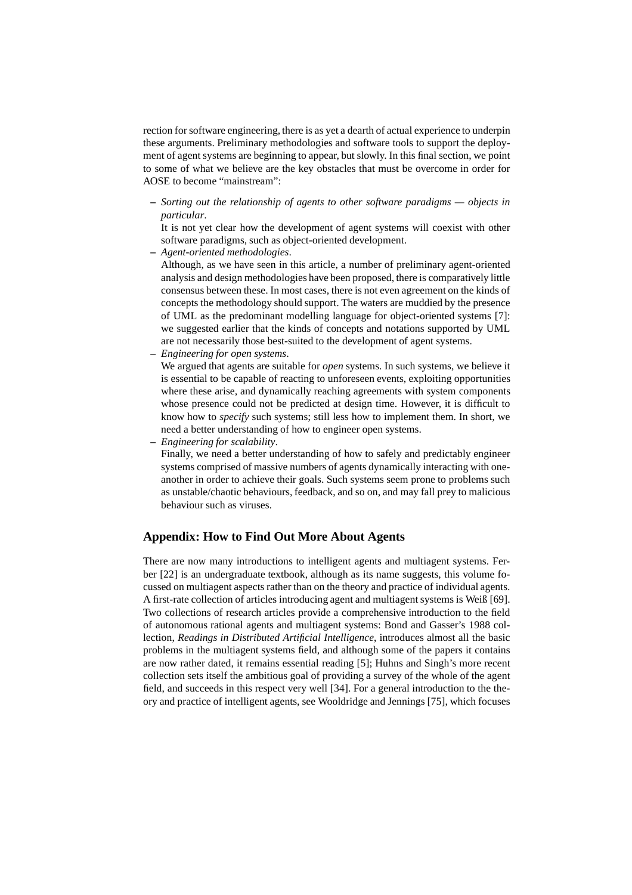rection for software engineering, there is as yet a dearth of actual experience to underpin these arguments. Preliminary methodologies and software tools to support the deployment of agent systems are beginning to appear, but slowly. In this final section, we point to some of what we believe are the key obstacles that must be overcome in order for AOSE to become "mainstream":

**–** *Sorting out the relationship of agents to other software paradigms — objects in particular*.

It is not yet clear how the development of agent systems will coexist with other software paradigms, such as object-oriented development.

**–** *Agent-oriented methodologies*.

Although, as we have seen in this article, a number of preliminary agent-oriented analysis and design methodologies have been proposed, there is comparatively little consensus between these. In most cases, there is not even agreement on the kinds of concepts the methodology should support. The waters are muddied by the presence of UML as the predominant modelling language for object-oriented systems [7]: we suggested earlier that the kinds of concepts and notations supported by UML are not necessarily those best-suited to the development of agent systems.

**–** *Engineering for open systems*.

We argued that agents are suitable for *open* systems. In such systems, we believe it is essential to be capable of reacting to unforeseen events, exploiting opportunities where these arise, and dynamically reaching agreements with system components whose presence could not be predicted at design time. However, it is difficult to know how to *specify* such systems; still less how to implement them. In short, we need a better understanding of how to engineer open systems.

**–** *Engineering for scalability*.

Finally, we need a better understanding of how to safely and predictably engineer systems comprised of massive numbers of agents dynamically interacting with oneanother in order to achieve their goals. Such systems seem prone to problems such as unstable/chaotic behaviours, feedback, and so on, and may fall prey to malicious behaviour such as viruses.

# **Appendix: How to Find Out More About Agents**

There are now many introductions to intelligent agents and multiagent systems. Ferber [22] is an undergraduate textbook, although as its name suggests, this volume focussed on multiagent aspects rather than on the theory and practice of individual agents. A first-rate collection of articles introducing agent and multiagent systems is Weiß [69]. Two collections of research articles provide a comprehensive introduction to the field of autonomous rational agents and multiagent systems: Bond and Gasser's 1988 collection, *Readings in Distributed Artificial Intelligence*, introduces almost all the basic problems in the multiagent systems field, and although some of the papers it contains are now rather dated, it remains essential reading [5]; Huhns and Singh's more recent collection sets itself the ambitious goal of providing a survey of the whole of the agent field, and succeeds in this respect very well [34]. For a general introduction to the theory and practice of intelligent agents, see Wooldridge and Jennings [75], which focuses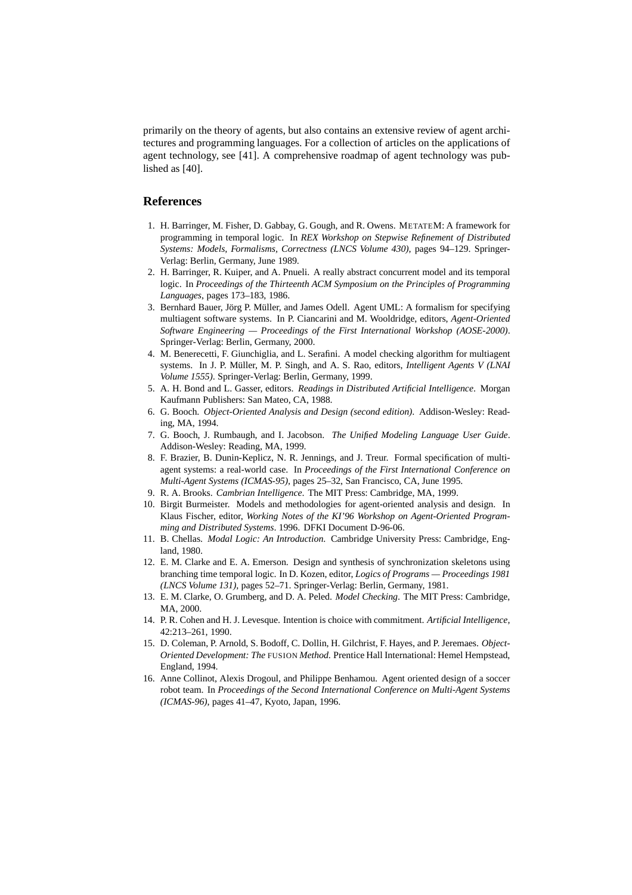primarily on the theory of agents, but also contains an extensive review of agent architectures and programming languages. For a collection of articles on the applications of agent technology, see [41]. A comprehensive roadmap of agent technology was published as [40].

# **References**

- 1. H. Barringer, M. Fisher, D. Gabbay, G. Gough, and R. Owens. METATEM: A framework for programming in temporal logic. In *REX Workshop on Stepwise Refinement of Distributed Systems: Models, Formalisms, Correctness (LNCS Volume 430)*, pages 94–129. Springer-Verlag: Berlin, Germany, June 1989.
- 2. H. Barringer, R. Kuiper, and A. Pnueli. A really abstract concurrent model and its temporal logic. In *Proceedings of the Thirteenth ACM Symposium on the Principles of Programming Languages*, pages 173–183, 1986.
- 3. Bernhard Bauer, Jörg P. Müller, and James Odell. Agent UML: A formalism for specifying multiagent software systems. In P. Ciancarini and M. Wooldridge, editors, *Agent-Oriented Software Engineering — Proceedings of the First International Workshop (AOSE-2000)*. Springer-Verlag: Berlin, Germany, 2000.
- 4. M. Benerecetti, F. Giunchiglia, and L. Serafini. A model checking algorithm for multiagent systems. In J. P. Müller, M. P. Singh, and A. S. Rao, editors, *Intelligent Agents V (LNAI Volume 1555)*. Springer-Verlag: Berlin, Germany, 1999.
- 5. A. H. Bond and L. Gasser, editors. *Readings in Distributed Artificial Intelligence*. Morgan Kaufmann Publishers: San Mateo, CA, 1988.
- 6. G. Booch. *Object-Oriented Analysis and Design (second edition)*. Addison-Wesley: Reading, MA, 1994.
- 7. G. Booch, J. Rumbaugh, and I. Jacobson. *The Unified Modeling Language User Guide*. Addison-Wesley: Reading, MA, 1999.
- 8. F. Brazier, B. Dunin-Keplicz, N. R. Jennings, and J. Treur. Formal specification of multiagent systems: a real-world case. In *Proceedings of the First International Conference on Multi-Agent Systems (ICMAS-95)*, pages 25–32, San Francisco, CA, June 1995.
- 9. R. A. Brooks. *Cambrian Intelligence*. The MIT Press: Cambridge, MA, 1999.
- 10. Birgit Burmeister. Models and methodologies for agent-oriented analysis and design. In Klaus Fischer, editor, *Working Notes of the KI'96 Workshop on Agent-Oriented Programming and Distributed Systems*. 1996. DFKI Document D-96-06.
- 11. B. Chellas. *Modal Logic: An Introduction*. Cambridge University Press: Cambridge, England, 1980.
- 12. E. M. Clarke and E. A. Emerson. Design and synthesis of synchronization skeletons using branching time temporal logic. In D. Kozen, editor, *Logics of Programs — Proceedings 1981 (LNCS Volume 131)*, pages 52–71. Springer-Verlag: Berlin, Germany, 1981.
- 13. E. M. Clarke, O. Grumberg, and D. A. Peled. *Model Checking*. The MIT Press: Cambridge, MA, 2000.
- 14. P. R. Cohen and H. J. Levesque. Intention is choice with commitment. *Artificial Intelligence*, 42:213–261, 1990.
- 15. D. Coleman, P. Arnold, S. Bodoff, C. Dollin, H. Gilchrist, F. Hayes, and P. Jeremaes. *Object-Oriented Development: The* FUSION *Method*. Prentice Hall International: Hemel Hempstead, England, 1994.
- 16. Anne Collinot, Alexis Drogoul, and Philippe Benhamou. Agent oriented design of a soccer robot team. In *Proceedings of the Second International Conference on Multi-Agent Systems (ICMAS-96)*, pages 41–47, Kyoto, Japan, 1996.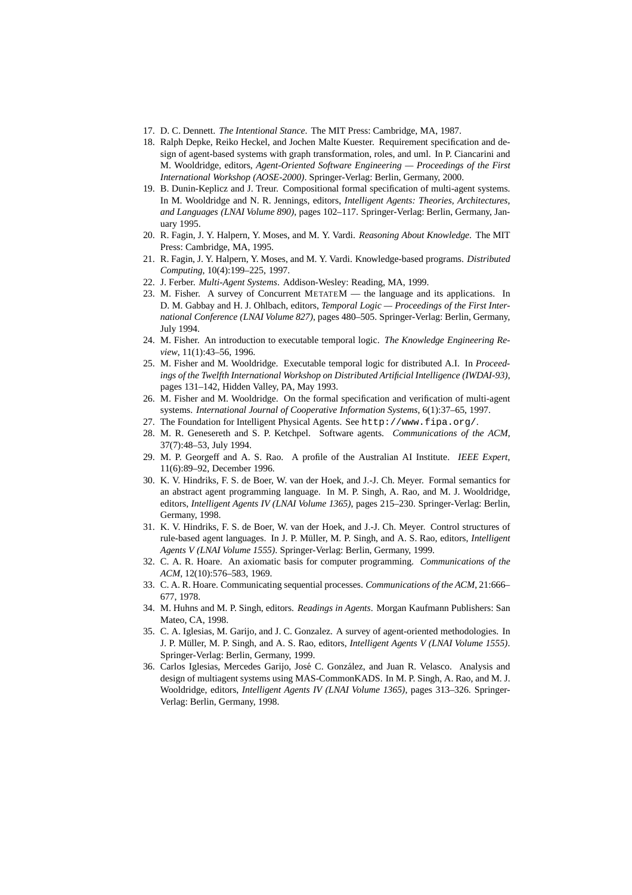- 17. D. C. Dennett. *The Intentional Stance*. The MIT Press: Cambridge, MA, 1987.
- 18. Ralph Depke, Reiko Heckel, and Jochen Malte Kuester. Requirement specification and design of agent-based systems with graph transformation, roles, and uml. In P. Ciancarini and M. Wooldridge, editors, *Agent-Oriented Software Engineering — Proceedings of the First International Workshop (AOSE-2000)*. Springer-Verlag: Berlin, Germany, 2000.
- 19. B. Dunin-Keplicz and J. Treur. Compositional formal specification of multi-agent systems. In M. Wooldridge and N. R. Jennings, editors, *Intelligent Agents: Theories, Architectures, and Languages (LNAI Volume 890)*, pages 102–117. Springer-Verlag: Berlin, Germany, January 1995.
- 20. R. Fagin, J. Y. Halpern, Y. Moses, and M. Y. Vardi. *Reasoning About Knowledge*. The MIT Press: Cambridge, MA, 1995.
- 21. R. Fagin, J. Y. Halpern, Y. Moses, and M. Y. Vardi. Knowledge-based programs. *Distributed Computing*, 10(4):199–225, 1997.
- 22. J. Ferber. *Multi-Agent Systems*. Addison-Wesley: Reading, MA, 1999.
- 23. M. Fisher. A survey of Concurrent METATEM the language and its applications. In D. M. Gabbay and H. J. Ohlbach, editors, *Temporal Logic — Proceedings of the First International Conference (LNAI Volume 827)*, pages 480–505. Springer-Verlag: Berlin, Germany, July 1994.
- 24. M. Fisher. An introduction to executable temporal logic. *The Knowledge Engineering Review*, 11(1):43–56, 1996.
- 25. M. Fisher and M. Wooldridge. Executable temporal logic for distributed A.I. In *Proceedings of the Twelfth International Workshop on Distributed Artificial Intelligence (IWDAI-93)*, pages 131–142, Hidden Valley, PA, May 1993.
- 26. M. Fisher and M. Wooldridge. On the formal specification and verification of multi-agent systems. *International Journal of Cooperative Information Systems*, 6(1):37–65, 1997.
- 27. The Foundation for Intelligent Physical Agents. See http://www.fipa.org/.
- 28. M. R. Genesereth and S. P. Ketchpel. Software agents. *Communications of the ACM*, 37(7):48–53, July 1994.
- 29. M. P. Georgeff and A. S. Rao. A profile of the Australian AI Institute. *IEEE Expert*, 11(6):89–92, December 1996.
- 30. K. V. Hindriks, F. S. de Boer, W. van der Hoek, and J.-J. Ch. Meyer. Formal semantics for an abstract agent programming language. In M. P. Singh, A. Rao, and M. J. Wooldridge, editors, *Intelligent Agents IV (LNAI Volume 1365)*, pages 215–230. Springer-Verlag: Berlin, Germany, 1998.
- 31. K. V. Hindriks, F. S. de Boer, W. van der Hoek, and J.-J. Ch. Meyer. Control structures of rule-based agent languages. In J. P. Müller, M. P. Singh, and A. S. Rao, editors, *Intelligent Agents V (LNAI Volume 1555)*. Springer-Verlag: Berlin, Germany, 1999.
- 32. C. A. R. Hoare. An axiomatic basis for computer programming. *Communications of the ACM*, 12(10):576–583, 1969.
- 33. C. A. R. Hoare. Communicating sequential processes. *Communications of the ACM*, 21:666– 677, 1978.
- 34. M. Huhns and M. P. Singh, editors. *Readings in Agents*. Morgan Kaufmann Publishers: San Mateo, CA, 1998.
- 35. C. A. Iglesias, M. Garijo, and J. C. Gonzalez. A survey of agent-oriented methodologies. In J. P. Muller ¨ , M. P. Singh, and A. S. Rao, editors, *Intelligent Agents V (LNAI Volume 1555)*. Springer-Verlag: Berlin, Germany, 1999.
- 36. Carlos Iglesias, Mercedes Garijo, José C. González, and Juan R. Velasco. Analysis and design of multiagent systems using MAS-CommonKADS. In M. P. Singh, A. Rao, and M. J. Wooldridge, editors, *Intelligent Agents IV (LNAI Volume 1365)*, pages 313–326. Springer-Verlag: Berlin, Germany, 1998.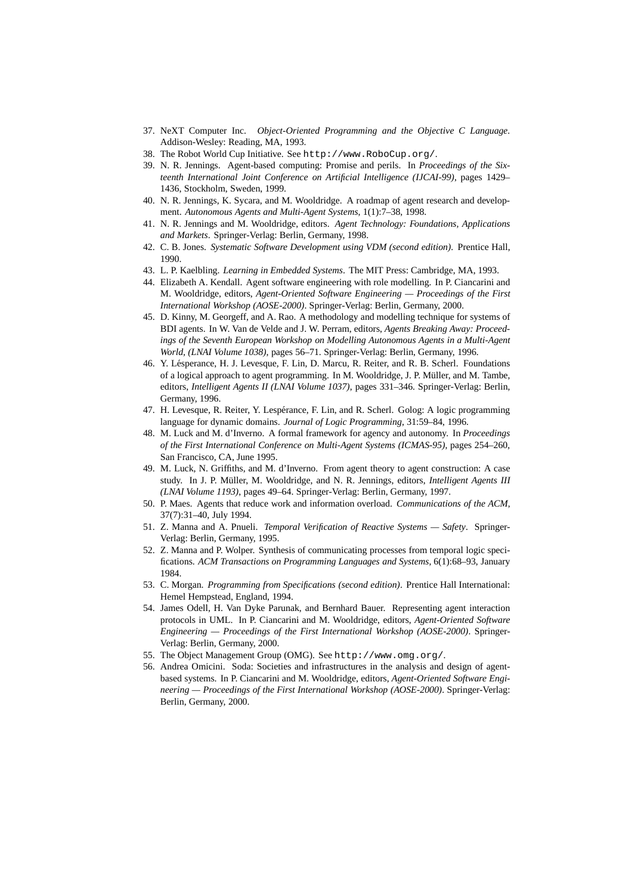- 37. NeXT Computer Inc. *Object-Oriented Programming and the Objective C Language*. Addison-Wesley: Reading, MA, 1993.
- 38. The Robot World Cup Initiative. See http://www.RoboCup.org/.
- 39. N. R. Jennings. Agent-based computing: Promise and perils. In *Proceedings of the Sixteenth International Joint Conference on Artificial Intelligence (IJCAI-99)*, pages 1429– 1436, Stockholm, Sweden, 1999.
- 40. N. R. Jennings, K. Sycara, and M. Wooldridge. A roadmap of agent research and development. *Autonomous Agents and Multi-Agent Systems*, 1(1):7–38, 1998.
- 41. N. R. Jennings and M. Wooldridge, editors. *Agent Technology: Foundations, Applications and Markets*. Springer-Verlag: Berlin, Germany, 1998.
- 42. C. B. Jones. *Systematic Software Development using VDM (second edition)*. Prentice Hall, 1990.
- 43. L. P. Kaelbling. *Learning in Embedded Systems*. The MIT Press: Cambridge, MA, 1993.
- 44. Elizabeth A. Kendall. Agent software engineering with role modelling. In P. Ciancarini and M. Wooldridge, editors, *Agent-Oriented Software Engineering — Proceedings of the First International Workshop (AOSE-2000)*. Springer-Verlag: Berlin, Germany, 2000.
- 45. D. Kinny, M. Georgeff, and A. Rao. A methodology and modelling technique for systems of BDI agents. In W. Van de Velde and J. W. Perram, editors, *Agents Breaking Away: Proceedings of the Seventh European Workshop on Modelling Autonomous Agents in a Multi-Agent World, (LNAI Volume 1038)*, pages 56–71. Springer-Verlag: Berlin, Germany, 1996.
- 46. Y. Lésperance, H. J. Levesque, F. Lin, D. Marcu, R. Reiter, and R. B. Scherl. Foundations of a logical approach to agent programming. In M. Wooldridge, J. P. Müller, and M. Tambe, editors, *Intelligent Agents II (LNAI Volume 1037)*, pages 331–346. Springer-Verlag: Berlin, Germany, 1996.
- 47. H. Levesque, R. Reiter, Y. Lespérance, F. Lin, and R. Scherl. Golog: A logic programming language for dynamic domains. *Journal of Logic Programming*, 31:59–84, 1996.
- 48. M. Luck and M. d'Inverno. A formal framework for agency and autonomy. In *Proceedings of the First International Conference on Multi-Agent Systems (ICMAS-95)*, pages 254–260, San Francisco, CA, June 1995.
- 49. M. Luck, N. Griffiths, and M. d'Inverno. From agent theory to agent construction: A case study. In J. P. Müller, M. Wooldridge, and N. R. Jennings, editors, *Intelligent Agents III (LNAI Volume 1193)*, pages 49–64. Springer-Verlag: Berlin, Germany, 1997.
- 50. P. Maes. Agents that reduce work and information overload. *Communications of the ACM*, 37(7):31–40, July 1994.
- 51. Z. Manna and A. Pnueli. *Temporal Verification of Reactive Systems — Safety*. Springer-Verlag: Berlin, Germany, 1995.
- 52. Z. Manna and P. Wolper. Synthesis of communicating processes from temporal logic specifications. *ACM Transactions on Programming Languages and Systems*, 6(1):68–93, January 1984.
- 53. C. Morgan. *Programming from Specifications (second edition)*. Prentice Hall International: Hemel Hempstead, England, 1994.
- 54. James Odell, H. Van Dyke Parunak, and Bernhard Bauer. Representing agent interaction protocols in UML. In P. Ciancarini and M. Wooldridge, editors, *Agent-Oriented Software Engineering — Proceedings of the First International Workshop (AOSE-2000)*. Springer-Verlag: Berlin, Germany, 2000.
- 55. The Object Management Group (OMG). See http://www.omg.org/.
- 56. Andrea Omicini. Soda: Societies and infrastructures in the analysis and design of agentbased systems. In P. Ciancarini and M. Wooldridge, editors, *Agent-Oriented Software Engineering — Proceedings of the First International Workshop (AOSE-2000)*. Springer-Verlag: Berlin, Germany, 2000.